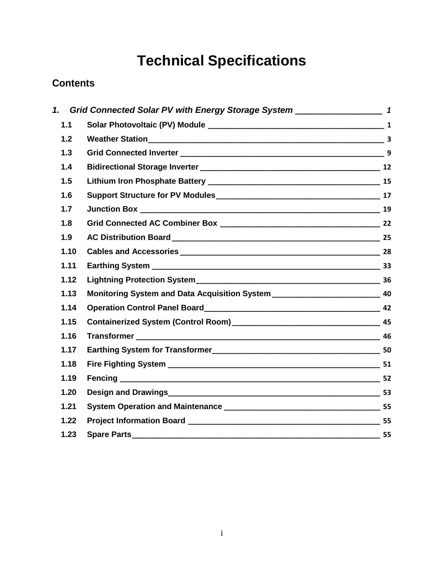# **Technical Specifications**

# **Contents**

| 1.   |                                                                                     |  |
|------|-------------------------------------------------------------------------------------|--|
| 1.1  |                                                                                     |  |
| 1.2  |                                                                                     |  |
| 1.3  |                                                                                     |  |
| 1.4  |                                                                                     |  |
| 1.5  |                                                                                     |  |
| 1.6  |                                                                                     |  |
| 1.7  |                                                                                     |  |
| 1.8  |                                                                                     |  |
| 1.9  |                                                                                     |  |
| 1.10 |                                                                                     |  |
| 1.11 |                                                                                     |  |
| 1.12 |                                                                                     |  |
| 1.13 | Monitoring System and Data Acquisition System __________________________________ 40 |  |
| 1.14 |                                                                                     |  |
| 1.15 |                                                                                     |  |
| 1.16 |                                                                                     |  |
| 1.17 |                                                                                     |  |
| 1.18 |                                                                                     |  |
| 1.19 |                                                                                     |  |
| 1.20 |                                                                                     |  |
| 1.21 |                                                                                     |  |
| 1.22 |                                                                                     |  |
| 1.23 |                                                                                     |  |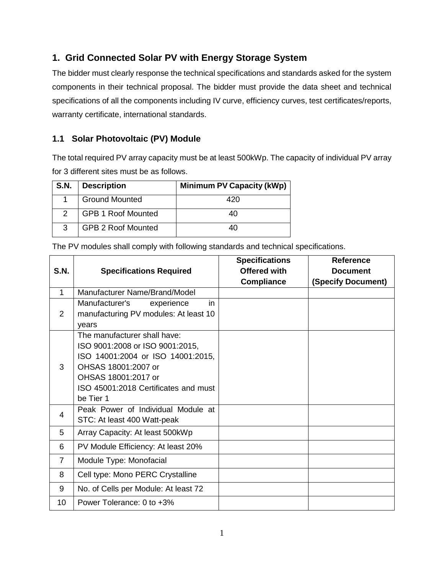# <span id="page-1-0"></span>**1. Grid Connected Solar PV with Energy Storage System**

The bidder must clearly response the technical specifications and standards asked for the system components in their technical proposal. The bidder must provide the data sheet and technical specifications of all the components including IV curve, efficiency curves, test certificates/reports, warranty certificate, international standards.

# <span id="page-1-1"></span>**1.1 Solar Photovoltaic (PV) Module**

The total required PV array capacity must be at least 500kWp. The capacity of individual PV array for 3 different sites must be as follows.

| S.N. | <b>Description</b>        | <b>Minimum PV Capacity (kWp)</b> |  |
|------|---------------------------|----------------------------------|--|
|      | <b>Ground Mounted</b>     | 420                              |  |
|      | <b>GPB 1 Roof Mounted</b> | 40                               |  |
| 3    | <b>GPB 2 Roof Mounted</b> | 40                               |  |

The PV modules shall comply with following standards and technical specifications.

|      |                                       | <b>Specifications</b> | <b>Reference</b>          |
|------|---------------------------------------|-----------------------|---------------------------|
| S.N. | <b>Specifications Required</b>        | <b>Offered with</b>   | <b>Document</b>           |
|      |                                       | <b>Compliance</b>     | <b>(Specify Document)</b> |
| 1    | Manufacturer Name/Brand/Model         |                       |                           |
|      | Manufacturer's<br>experience<br>in.   |                       |                           |
| 2    | manufacturing PV modules: At least 10 |                       |                           |
|      | vears                                 |                       |                           |
|      | The manufacturer shall have:          |                       |                           |
|      | ISO 9001:2008 or ISO 9001:2015,       |                       |                           |
|      | ISO 14001:2004 or ISO 14001:2015,     |                       |                           |
| 3    | OHSAS 18001:2007 or                   |                       |                           |
|      | OHSAS 18001:2017 or                   |                       |                           |
|      | ISO 45001:2018 Certificates and must  |                       |                           |
|      | be Tier 1                             |                       |                           |
| 4    | Peak Power of Individual Module at    |                       |                           |
|      | STC: At least 400 Watt-peak           |                       |                           |
| 5    | Array Capacity: At least 500kWp       |                       |                           |
| 6    | PV Module Efficiency: At least 20%    |                       |                           |
| 7    | Module Type: Monofacial               |                       |                           |
| 8    | Cell type: Mono PERC Crystalline      |                       |                           |
| 9    | No. of Cells per Module: At least 72  |                       |                           |
| 10   | Power Tolerance: 0 to +3%             |                       |                           |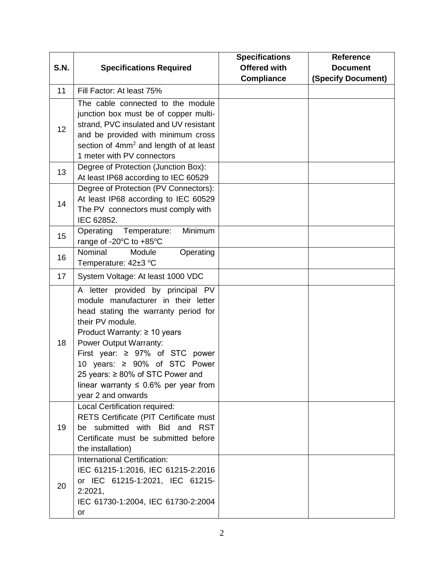|      |                                                                                                                                                                                                                                                                                                                                                                                           | <b>Specifications</b> | <b>Reference</b>          |
|------|-------------------------------------------------------------------------------------------------------------------------------------------------------------------------------------------------------------------------------------------------------------------------------------------------------------------------------------------------------------------------------------------|-----------------------|---------------------------|
| S.N. | <b>Specifications Required</b>                                                                                                                                                                                                                                                                                                                                                            | <b>Offered with</b>   | <b>Document</b>           |
|      |                                                                                                                                                                                                                                                                                                                                                                                           | <b>Compliance</b>     | <b>(Specify Document)</b> |
| 11   | Fill Factor: At least 75%                                                                                                                                                                                                                                                                                                                                                                 |                       |                           |
| 12   | The cable connected to the module<br>junction box must be of copper multi-<br>strand, PVC insulated and UV resistant<br>and be provided with minimum cross<br>section of 4mm <sup>2</sup> and length of at least<br>1 meter with PV connectors                                                                                                                                            |                       |                           |
| 13   | Degree of Protection (Junction Box):<br>At least IP68 according to IEC 60529                                                                                                                                                                                                                                                                                                              |                       |                           |
| 14   | Degree of Protection (PV Connectors):<br>At least IP68 according to IEC 60529<br>The PV connectors must comply with<br>IEC 62852.                                                                                                                                                                                                                                                         |                       |                           |
| 15   | Minimum<br>Operating<br>Temperature:<br>range of -20°C to +85°C                                                                                                                                                                                                                                                                                                                           |                       |                           |
| 16   | Nominal<br>Module<br>Operating<br>Temperature: 42±3 °C                                                                                                                                                                                                                                                                                                                                    |                       |                           |
| 17   | System Voltage: At least 1000 VDC                                                                                                                                                                                                                                                                                                                                                         |                       |                           |
| 18   | A letter provided by principal PV<br>module manufacturer in their letter<br>head stating the warranty period for<br>their PV module.<br>Product Warranty: $\geq 10$ years<br>Power Output Warranty:<br>First year: $\geq 97\%$ of STC power<br>10 years: $\geq 90\%$ of STC Power<br>25 years: ≥ 80% of STC Power and<br>linear warranty $\leq 0.6\%$ per year from<br>year 2 and onwards |                       |                           |
| 19   | Local Certification required:<br>RETS Certificate (PIT Certificate must<br>be submitted with Bid and RST<br>Certificate must be submitted before<br>the installation)                                                                                                                                                                                                                     |                       |                           |
| 20   | International Certification:<br>IEC 61215-1:2016, IEC 61215-2:2016<br>or IEC 61215-1:2021, IEC 61215-<br>2:2021,<br>IEC 61730-1:2004, IEC 61730-2:2004<br>or                                                                                                                                                                                                                              |                       |                           |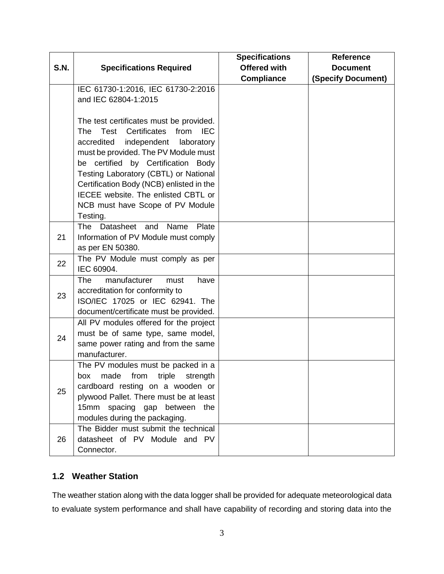|      |                                                                                                                                                                                                                                                                                                                                                                                          | <b>Specifications</b> | <b>Reference</b>   |
|------|------------------------------------------------------------------------------------------------------------------------------------------------------------------------------------------------------------------------------------------------------------------------------------------------------------------------------------------------------------------------------------------|-----------------------|--------------------|
| S.N. | <b>Specifications Required</b>                                                                                                                                                                                                                                                                                                                                                           | <b>Offered with</b>   | <b>Document</b>    |
|      |                                                                                                                                                                                                                                                                                                                                                                                          | <b>Compliance</b>     | (Specify Document) |
|      | IEC 61730-1:2016, IEC 61730-2:2016<br>and IEC 62804-1:2015                                                                                                                                                                                                                                                                                                                               |                       |                    |
|      | The test certificates must be provided.<br>Certificates from<br><b>IEC</b><br>The Test<br>accredited<br>independent laboratory<br>must be provided. The PV Module must<br>be certified by Certification Body<br>Testing Laboratory (CBTL) or National<br>Certification Body (NCB) enlisted in the<br>IECEE website. The enlisted CBTL or<br>NCB must have Scope of PV Module<br>Testing. |                       |                    |
| 21   | Datasheet and Name<br>The<br>Plate<br>Information of PV Module must comply<br>as per EN 50380.                                                                                                                                                                                                                                                                                           |                       |                    |
| 22   | The PV Module must comply as per<br>IEC 60904.                                                                                                                                                                                                                                                                                                                                           |                       |                    |
| 23   | manufacturer<br>The<br>have<br>must<br>accreditation for conformity to<br>ISO/IEC 17025 or IEC 62941. The<br>document/certificate must be provided.                                                                                                                                                                                                                                      |                       |                    |
| 24   | All PV modules offered for the project<br>must be of same type, same model,<br>same power rating and from the same<br>manufacturer.                                                                                                                                                                                                                                                      |                       |                    |
| 25   | The PV modules must be packed in a<br>box made from triple strength<br>cardboard resting on a wooden or<br>plywood Pallet. There must be at least<br>15mm spacing gap between the<br>modules during the packaging.                                                                                                                                                                       |                       |                    |
| 26   | The Bidder must submit the technical<br>datasheet of PV Module and PV<br>Connector.                                                                                                                                                                                                                                                                                                      |                       |                    |

# <span id="page-3-0"></span>**1.2 Weather Station**

The weather station along with the data logger shall be provided for adequate meteorological data to evaluate system performance and shall have capability of recording and storing data into the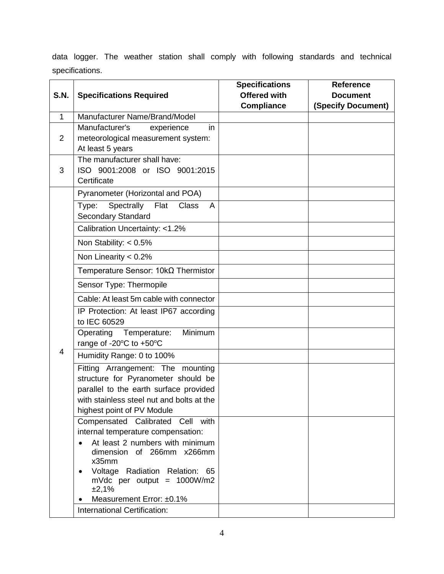data logger. The weather station shall comply with following standards and technical specifications.

|              |                                                                         | <b>Specifications</b> | <b>Reference</b>   |
|--------------|-------------------------------------------------------------------------|-----------------------|--------------------|
| <b>S.N.</b>  | <b>Specifications Required</b>                                          | <b>Offered with</b>   | <b>Document</b>    |
|              |                                                                         | <b>Compliance</b>     | (Specify Document) |
| $\mathbf{1}$ | Manufacturer Name/Brand/Model                                           |                       |                    |
|              | Manufacturer's<br>in<br>experience                                      |                       |                    |
| 2            | meteorological measurement system:                                      |                       |                    |
|              | At least 5 years                                                        |                       |                    |
| 3            | The manufacturer shall have:                                            |                       |                    |
|              | ISO 9001:2008 or ISO 9001:2015<br>Certificate                           |                       |                    |
|              |                                                                         |                       |                    |
|              | Pyranometer (Horizontal and POA)                                        |                       |                    |
|              | Spectrally<br>Flat<br><b>Class</b><br>Type:<br>A                        |                       |                    |
|              | <b>Secondary Standard</b>                                               |                       |                    |
|              | Calibration Uncertainty: <1.2%                                          |                       |                    |
|              | Non Stability: $< 0.5\%$                                                |                       |                    |
|              | Non Linearity $< 0.2\%$                                                 |                       |                    |
|              | Temperature Sensor: $10k\Omega$ Thermistor                              |                       |                    |
|              | Sensor Type: Thermopile                                                 |                       |                    |
|              | Cable: At least 5m cable with connector                                 |                       |                    |
|              | IP Protection: At least IP67 according<br>to IEC 60529                  |                       |                    |
|              | Operating<br>Minimum<br>Temperature:                                    |                       |                    |
|              | range of -20°C to +50°C                                                 |                       |                    |
| 4            | Humidity Range: 0 to 100%                                               |                       |                    |
|              | Fitting Arrangement: The mounting                                       |                       |                    |
|              | structure for Pyranometer should be                                     |                       |                    |
|              | parallel to the earth surface provided                                  |                       |                    |
|              | with stainless steel nut and bolts at the<br>highest point of PV Module |                       |                    |
|              | Compensated Calibrated Cell with                                        |                       |                    |
|              | internal temperature compensation:                                      |                       |                    |
|              | At least 2 numbers with minimum                                         |                       |                    |
|              | dimension of 266mm x266mm                                               |                       |                    |
|              | x35mm                                                                   |                       |                    |
|              | Voltage Radiation Relation: 65<br>mVdc per output = $1000W/m2$<br>±2,1% |                       |                    |
|              | Measurement Error: ±0.1%                                                |                       |                    |
|              | International Certification:                                            |                       |                    |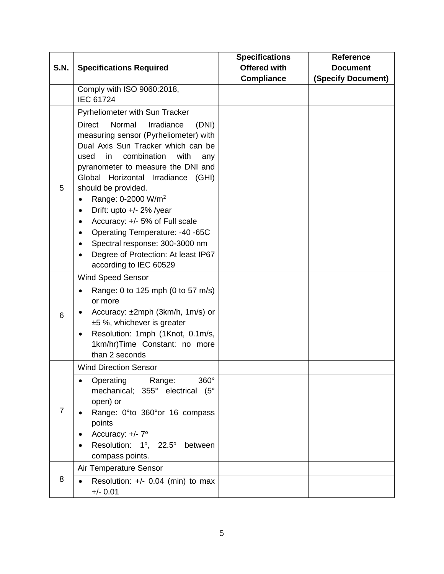|             |                                                                                                                                                                                                                                                                                                                                                                                                                                                                                                                                 | <b>Specifications</b>                    | <b>Reference</b>                             |
|-------------|---------------------------------------------------------------------------------------------------------------------------------------------------------------------------------------------------------------------------------------------------------------------------------------------------------------------------------------------------------------------------------------------------------------------------------------------------------------------------------------------------------------------------------|------------------------------------------|----------------------------------------------|
| <b>S.N.</b> | <b>Specifications Required</b>                                                                                                                                                                                                                                                                                                                                                                                                                                                                                                  | <b>Offered with</b><br><b>Compliance</b> | <b>Document</b><br><b>(Specify Document)</b> |
|             | Comply with ISO 9060:2018,<br><b>IEC 61724</b>                                                                                                                                                                                                                                                                                                                                                                                                                                                                                  |                                          |                                              |
|             | Pyrheliometer with Sun Tracker                                                                                                                                                                                                                                                                                                                                                                                                                                                                                                  |                                          |                                              |
| 5           | Normal<br><b>Direct</b><br>Irradiance<br>(DNI)<br>measuring sensor (Pyrheliometer) with<br>Dual Axis Sun Tracker which can be<br>combination<br>with<br>used<br>in<br>any<br>pyranometer to measure the DNI and<br>Global Horizontal Irradiance (GHI)<br>should be provided.<br>Range: 0-2000 W/m <sup>2</sup><br>Drift: upto +/- 2% /year<br>$\bullet$<br>Accuracy: +/- 5% of Full scale<br>Operating Temperature: -40 -65C<br>Spectral response: 300-3000 nm<br>Degree of Protection: At least IP67<br>according to IEC 60529 |                                          |                                              |
|             | <b>Wind Speed Sensor</b>                                                                                                                                                                                                                                                                                                                                                                                                                                                                                                        |                                          |                                              |
| 6           | Range: 0 to 125 mph (0 to 57 m/s)<br>or more<br>Accuracy: ±2mph (3km/h, 1m/s) or<br>$±5$ %, whichever is greater<br>Resolution: 1mph (1Knot, 0.1m/s,<br>1km/hr)Time Constant: no more<br>than 2 seconds                                                                                                                                                                                                                                                                                                                         |                                          |                                              |
|             | <b>Wind Direction Sensor</b>                                                                                                                                                                                                                                                                                                                                                                                                                                                                                                    |                                          |                                              |
| 7           | 360°<br>Operating<br>Range:<br>mechanical;<br>355° electrical (5°<br>open) or<br>Range: 0°to 360°or 16 compass<br>points<br>Accuracy: +/- 7°<br>Resolution: 1°,<br>$22.5^\circ$<br>between<br>compass points.                                                                                                                                                                                                                                                                                                                   |                                          |                                              |
|             | Air Temperature Sensor                                                                                                                                                                                                                                                                                                                                                                                                                                                                                                          |                                          |                                              |
| 8           | Resolution: $+/-$ 0.04 (min) to max<br>$+/- 0.01$                                                                                                                                                                                                                                                                                                                                                                                                                                                                               |                                          |                                              |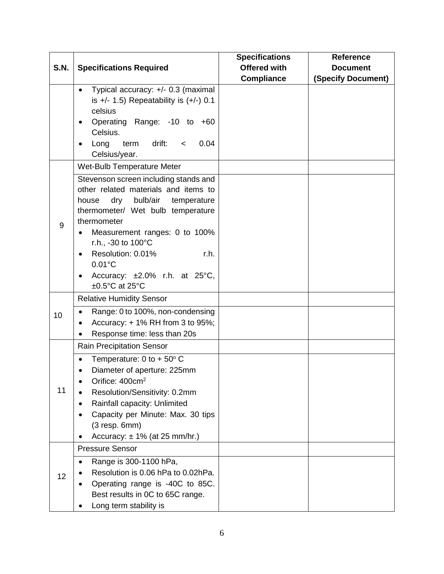|             |                                                                                                                                                                                                                                                                                                                                                                               | <b>Specifications</b> | <b>Reference</b>          |
|-------------|-------------------------------------------------------------------------------------------------------------------------------------------------------------------------------------------------------------------------------------------------------------------------------------------------------------------------------------------------------------------------------|-----------------------|---------------------------|
| <b>S.N.</b> | <b>Specifications Required</b>                                                                                                                                                                                                                                                                                                                                                | <b>Offered with</b>   | <b>Document</b>           |
|             |                                                                                                                                                                                                                                                                                                                                                                               | <b>Compliance</b>     | <b>(Specify Document)</b> |
|             | Typical accuracy: +/- 0.3 (maximal<br>is $+/- 1.5$ ) Repeatability is $(+/-) 0.1$<br>celsius<br>Operating Range: -10 to +60<br>Celsius.<br>drift:<br>0.04<br>term<br>Long<br>$\,<\,$<br>Celsius/year.                                                                                                                                                                         |                       |                           |
|             | Wet-Bulb Temperature Meter                                                                                                                                                                                                                                                                                                                                                    |                       |                           |
| 9           | Stevenson screen including stands and<br>other related materials and items to<br>dry<br>bulb/air<br>house<br>temperature<br>thermometer/ Wet bulb temperature<br>thermometer<br>Measurement ranges: 0 to 100%<br>r.h., -30 to 100°C<br>Resolution: 0.01%<br>r.h.<br>$\bullet$<br>$0.01^{\circ}$ C<br>Accuracy: $\pm 2.0\%$ r.h. at 25°C,<br>$\bullet$<br>$\pm 0.5$ °C at 25°C |                       |                           |
|             | <b>Relative Humidity Sensor</b>                                                                                                                                                                                                                                                                                                                                               |                       |                           |
| 10          | Range: 0 to 100%, non-condensing<br>Accuracy: + 1% RH from 3 to 95%;<br>Response time: less than 20s                                                                                                                                                                                                                                                                          |                       |                           |
|             | <b>Rain Precipitation Sensor</b>                                                                                                                                                                                                                                                                                                                                              |                       |                           |
| 11          | Temperature: $0$ to + 50 $\degree$ C<br>Diameter of aperture: 225mm<br>Orifice: 400cm <sup>2</sup><br>Resolution/Sensitivity: 0.2mm<br>Rainfall capacity: Unlimited<br>Capacity per Minute: Max. 30 tips<br>$(3$ resp. 6mm $)$<br>Accuracy: $\pm$ 1% (at 25 mm/hr.)                                                                                                           |                       |                           |
|             | <b>Pressure Sensor</b>                                                                                                                                                                                                                                                                                                                                                        |                       |                           |
| 12          | Range is 300-1100 hPa,<br>Resolution is 0.06 hPa to 0.02hPa.<br>Operating range is -40C to 85C.<br>Best results in 0C to 65C range.<br>Long term stability is                                                                                                                                                                                                                 |                       |                           |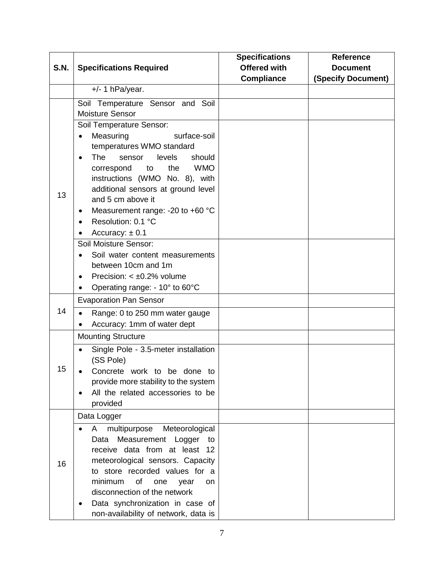|             |                                          | <b>Specifications</b> | <b>Reference</b>   |
|-------------|------------------------------------------|-----------------------|--------------------|
| <b>S.N.</b> | <b>Specifications Required</b>           | <b>Offered with</b>   | <b>Document</b>    |
|             |                                          | <b>Compliance</b>     | (Specify Document) |
|             | $+/- 1$ hPa/year.                        |                       |                    |
|             | Soil Temperature Sensor and Soil         |                       |                    |
|             | <b>Moisture Sensor</b>                   |                       |                    |
|             | Soil Temperature Sensor:                 |                       |                    |
|             | Measuring<br>surface-soil                |                       |                    |
|             | temperatures WMO standard                |                       |                    |
|             | <b>The</b><br>should<br>levels<br>sensor |                       |                    |
|             | <b>WMO</b><br>the<br>correspond<br>to    |                       |                    |
|             | instructions (WMO No. 8), with           |                       |                    |
| 13          | additional sensors at ground level       |                       |                    |
|             | and 5 cm above it                        |                       |                    |
|             | Measurement range: -20 to +60 °C<br>٠    |                       |                    |
|             | Resolution: 0.1 °C                       |                       |                    |
|             | Accuracy: $\pm$ 0.1                      |                       |                    |
|             | Soil Moisture Sensor:                    |                       |                    |
|             | Soil water content measurements          |                       |                    |
|             | between 10cm and 1m                      |                       |                    |
|             | Precision: $< \pm 0.2\%$ volume          |                       |                    |
|             | Operating range: - 10° to 60°C           |                       |                    |
|             | <b>Evaporation Pan Sensor</b>            |                       |                    |
| 14          | Range: 0 to 250 mm water gauge           |                       |                    |
|             | Accuracy: 1mm of water dept              |                       |                    |
|             | <b>Mounting Structure</b>                |                       |                    |
|             | Single Pole - 3.5-meter installation     |                       |                    |
|             | (SS Pole)                                |                       |                    |
| 15          | Concrete work to be done to              |                       |                    |
|             | provide more stability to the system     |                       |                    |
|             | All the related accessories to be        |                       |                    |
|             | provided                                 |                       |                    |
| 16          | Data Logger                              |                       |                    |
|             | multipurpose<br>A<br>Meteorological      |                       |                    |
|             | Measurement<br>Data<br>Logger<br>to      |                       |                    |
|             | receive data from at least<br>12         |                       |                    |
|             | meteorological sensors. Capacity         |                       |                    |
|             | to store recorded values for a           |                       |                    |
|             | of<br>minimum<br>one<br>year<br>on       |                       |                    |
|             | disconnection of the network             |                       |                    |
|             | Data synchronization in case of          |                       |                    |
|             | non-availability of network, data is     |                       |                    |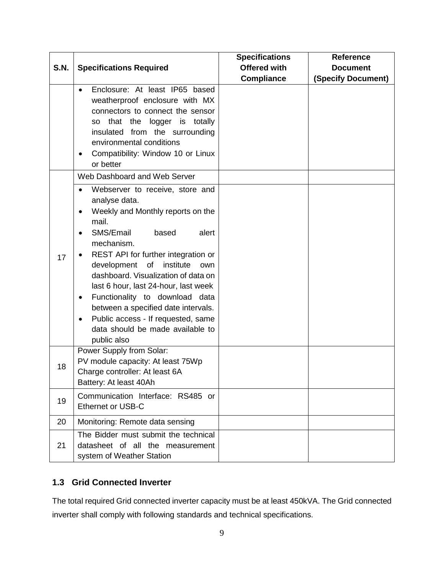| <b>S.N.</b> | <b>Specifications Required</b>                                                                                                                                                                                                                                                                                                                                                                                                                                                                                              | <b>Specifications</b><br><b>Offered with</b> | <b>Reference</b><br><b>Document</b> |
|-------------|-----------------------------------------------------------------------------------------------------------------------------------------------------------------------------------------------------------------------------------------------------------------------------------------------------------------------------------------------------------------------------------------------------------------------------------------------------------------------------------------------------------------------------|----------------------------------------------|-------------------------------------|
|             | Enclosure: At least IP65 based<br>weatherproof enclosure with MX<br>connectors to connect the sensor<br>that the logger is totally<br>so<br>insulated from the surrounding<br>environmental conditions<br>Compatibility: Window 10 or Linux<br>٠<br>or better                                                                                                                                                                                                                                                               | <b>Compliance</b>                            | (Specify Document)                  |
| 17          | Web Dashboard and Web Server<br>Webserver to receive, store and<br>analyse data.<br>Weekly and Monthly reports on the<br>mail.<br>SMS/Email<br>alert<br>based<br>mechanism.<br>REST API for further integration or<br>institute<br>development of<br>own<br>dashboard. Visualization of data on<br>last 6 hour, last 24-hour, last week<br>Functionality to download data<br>٠<br>between a specified date intervals.<br>Public access - If requested, same<br>$\bullet$<br>data should be made available to<br>public also |                                              |                                     |
| 18          | Power Supply from Solar:<br>PV module capacity: At least 75Wp<br>Charge controller: At least 6A<br>Battery: At least 40Ah                                                                                                                                                                                                                                                                                                                                                                                                   |                                              |                                     |
| 19          | Communication Interface: RS485 or<br>Ethernet or USB-C                                                                                                                                                                                                                                                                                                                                                                                                                                                                      |                                              |                                     |
| 20          | Monitoring: Remote data sensing                                                                                                                                                                                                                                                                                                                                                                                                                                                                                             |                                              |                                     |
| 21          | The Bidder must submit the technical<br>datasheet of all the measurement<br>system of Weather Station                                                                                                                                                                                                                                                                                                                                                                                                                       |                                              |                                     |

# <span id="page-9-0"></span>**1.3 Grid Connected Inverter**

The total required Grid connected inverter capacity must be at least 450kVA. The Grid connected inverter shall comply with following standards and technical specifications.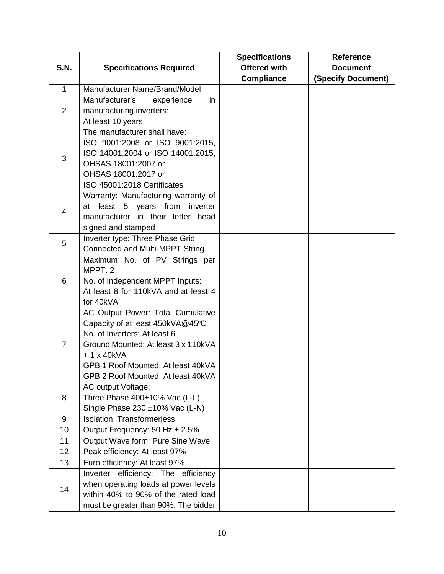|                |                                                                  | <b>Specifications</b> | <b>Reference</b>   |
|----------------|------------------------------------------------------------------|-----------------------|--------------------|
| <b>S.N.</b>    | <b>Specifications Required</b>                                   | <b>Offered with</b>   | <b>Document</b>    |
|                |                                                                  | <b>Compliance</b>     | (Specify Document) |
| $\mathbf{1}$   | Manufacturer Name/Brand/Model                                    |                       |                    |
|                | Manufacturer's<br>experience<br>in                               |                       |                    |
| $\overline{2}$ | manufacturing inverters:                                         |                       |                    |
|                | At least 10 years                                                |                       |                    |
|                | The manufacturer shall have:                                     |                       |                    |
|                | ISO 9001:2008 or ISO 9001:2015,                                  |                       |                    |
| 3              | ISO 14001:2004 or ISO 14001:2015,                                |                       |                    |
|                | OHSAS 18001:2007 or                                              |                       |                    |
|                | OHSAS 18001:2017 or                                              |                       |                    |
|                | ISO 45001:2018 Certificates                                      |                       |                    |
|                | Warranty: Manufacturing warranty of                              |                       |                    |
| 4              | least 5 years from<br>inverter<br>at                             |                       |                    |
|                | manufacturer in their letter head                                |                       |                    |
|                | signed and stamped                                               |                       |                    |
| 5              | Inverter type: Three Phase Grid                                  |                       |                    |
|                | Connected and Multi-MPPT String                                  |                       |                    |
|                | Maximum No. of PV Strings per                                    |                       |                    |
|                | MPPT: 2                                                          |                       |                    |
| 6              | No. of Independent MPPT Inputs:                                  |                       |                    |
|                | At least 8 for 110kVA and at least 4                             |                       |                    |
|                | for 40kVA                                                        |                       |                    |
|                | AC Output Power: Total Cumulative                                |                       |                    |
|                | Capacity of at least 450kVA@45°C<br>No. of Inverters: At least 6 |                       |                    |
| $\overline{7}$ | Ground Mounted: At least 3 x 110kVA                              |                       |                    |
|                | $+1x40kVA$                                                       |                       |                    |
|                | GPB 1 Roof Mounted: At least 40kVA                               |                       |                    |
|                | GPB 2 Roof Mounted: At least 40kVA                               |                       |                    |
|                | AC output Voltage:                                               |                       |                    |
| 8              | Three Phase 400±10% Vac (L-L),                                   |                       |                    |
|                | Single Phase 230 ±10% Vac (L-N)                                  |                       |                    |
| 9              | <b>Isolation: Transformerless</b>                                |                       |                    |
| 10             | Output Frequency: 50 Hz ± 2.5%                                   |                       |                    |
| 11             | Output Wave form: Pure Sine Wave                                 |                       |                    |
| 12             | Peak efficiency: At least 97%                                    |                       |                    |
| 13             | Euro efficiency: At least 97%                                    |                       |                    |
|                | Inverter efficiency: The efficiency                              |                       |                    |
|                | when operating loads at power levels                             |                       |                    |
| 14             | within 40% to 90% of the rated load                              |                       |                    |
|                | must be greater than 90%. The bidder                             |                       |                    |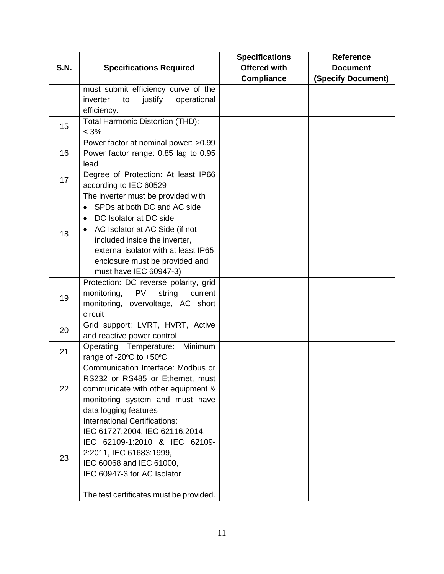|             |                                               | <b>Specifications</b> | <b>Reference</b>          |
|-------------|-----------------------------------------------|-----------------------|---------------------------|
| <b>S.N.</b> | <b>Specifications Required</b>                | <b>Offered with</b>   | <b>Document</b>           |
|             |                                               | <b>Compliance</b>     | <b>(Specify Document)</b> |
|             | must submit efficiency curve of the           |                       |                           |
|             | inverter<br>justify<br>operational<br>to      |                       |                           |
|             | efficiency.                                   |                       |                           |
| 15          | Total Harmonic Distortion (THD):              |                       |                           |
|             | $< 3\%$                                       |                       |                           |
|             | Power factor at nominal power: > 0.99         |                       |                           |
| 16          | Power factor range: 0.85 lag to 0.95          |                       |                           |
|             | lead                                          |                       |                           |
| 17          | Degree of Protection: At least IP66           |                       |                           |
|             | according to IEC 60529                        |                       |                           |
|             | The inverter must be provided with            |                       |                           |
|             | SPDs at both DC and AC side<br>$\bullet$      |                       |                           |
|             | DC Isolator at DC side<br>$\bullet$           |                       |                           |
| 18          | AC Isolator at AC Side (if not                |                       |                           |
|             | included inside the inverter,                 |                       |                           |
|             | external isolator with at least IP65          |                       |                           |
|             | enclosure must be provided and                |                       |                           |
|             | must have IEC 60947-3)                        |                       |                           |
|             | Protection: DC reverse polarity, grid         |                       |                           |
| 19          | monitoring,<br><b>PV</b><br>string<br>current |                       |                           |
|             | monitoring, overvoltage, AC short             |                       |                           |
|             | circuit                                       |                       |                           |
| 20          | Grid support: LVRT, HVRT, Active              |                       |                           |
|             | and reactive power control                    |                       |                           |
| 21          | Operating Temperature:<br>Minimum             |                       |                           |
|             | range of -20°C to +50°C                       |                       |                           |
|             | Communication Interface: Modbus or            |                       |                           |
|             | RS232 or RS485 or Ethernet, must              |                       |                           |
| 22          | communicate with other equipment &            |                       |                           |
|             | monitoring system and must have               |                       |                           |
|             | data logging features                         |                       |                           |
|             | <b>International Certifications:</b>          |                       |                           |
|             | IEC 61727:2004, IEC 62116:2014,               |                       |                           |
|             | IEC 62109-1:2010 & IEC 62109-                 |                       |                           |
| 23          | 2:2011, IEC 61683:1999,                       |                       |                           |
|             | IEC 60068 and IEC 61000,                      |                       |                           |
|             | IEC 60947-3 for AC Isolator                   |                       |                           |
|             |                                               |                       |                           |
|             | The test certificates must be provided.       |                       |                           |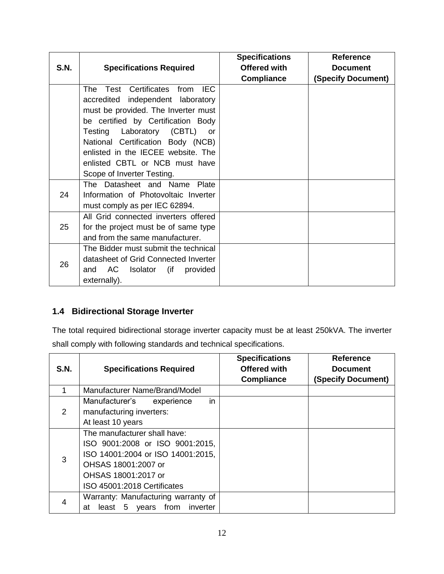|             |                                                                           | <b>Specifications</b> | <b>Reference</b>   |
|-------------|---------------------------------------------------------------------------|-----------------------|--------------------|
| <b>S.N.</b> | <b>Specifications Required</b>                                            | <b>Offered with</b>   | <b>Document</b>    |
|             |                                                                           | <b>Compliance</b>     | (Specify Document) |
|             | from IEC<br>Test Certificates<br>The<br>accredited independent laboratory |                       |                    |
|             | must be provided. The Inverter must<br>be certified by Certification Body |                       |                    |
|             | Testing<br>Laboratory (CBTL)<br>or                                        |                       |                    |
|             | National Certification Body (NCB)                                         |                       |                    |
|             | enlisted in the IECEE website. The                                        |                       |                    |
|             | enlisted CBTL or NCB must have                                            |                       |                    |
|             | Scope of Inverter Testing.                                                |                       |                    |
|             | The Datasheet and Name Plate                                              |                       |                    |
| 24          | Information of Photovoltaic Inverter                                      |                       |                    |
|             | must comply as per IEC 62894.                                             |                       |                    |
|             | All Grid connected inverters offered                                      |                       |                    |
| 25          | for the project must be of same type                                      |                       |                    |
|             | and from the same manufacturer.                                           |                       |                    |
| 26          | The Bidder must submit the technical                                      |                       |                    |
|             | datasheet of Grid Connected Inverter                                      |                       |                    |
|             | AC.<br>Isolator (if provided<br>and                                       |                       |                    |
|             | externally).                                                              |                       |                    |

# <span id="page-12-0"></span>**1.4 Bidirectional Storage Inverter**

The total required bidirectional storage inverter capacity must be at least 250kVA. The inverter shall comply with following standards and technical specifications.

| S.N.          | <b>Specifications Required</b>                                                                                                                                                    | <b>Specifications</b><br><b>Offered with</b><br><b>Compliance</b> | <b>Reference</b><br><b>Document</b><br>(Specify Document) |
|---------------|-----------------------------------------------------------------------------------------------------------------------------------------------------------------------------------|-------------------------------------------------------------------|-----------------------------------------------------------|
|               | Manufacturer Name/Brand/Model                                                                                                                                                     |                                                                   |                                                           |
| $\mathcal{P}$ | Manufacturer's<br>in<br>experience<br>manufacturing inverters:<br>At least 10 years                                                                                               |                                                                   |                                                           |
| 3             | The manufacturer shall have:<br>ISO 9001:2008 or ISO 9001:2015,<br>ISO 14001:2004 or ISO 14001:2015,<br>OHSAS 18001:2007 or<br>OHSAS 18001:2017 or<br>ISO 45001:2018 Certificates |                                                                   |                                                           |
| 4             | Warranty: Manufacturing warranty of<br>from<br>years<br>inverter<br>least 5<br>at                                                                                                 |                                                                   |                                                           |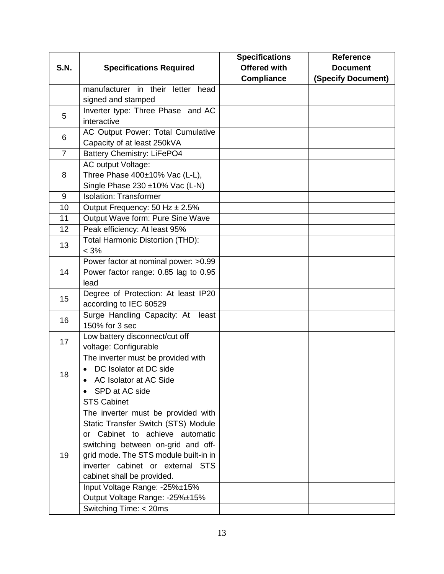|                |                                       | <b>Specifications</b> | <b>Reference</b>   |
|----------------|---------------------------------------|-----------------------|--------------------|
| <b>S.N.</b>    | <b>Specifications Required</b>        | <b>Offered with</b>   | <b>Document</b>    |
|                |                                       | <b>Compliance</b>     | (Specify Document) |
|                | manufacturer in their letter head     |                       |                    |
|                | signed and stamped                    |                       |                    |
| 5              | Inverter type: Three Phase and AC     |                       |                    |
|                | interactive                           |                       |                    |
| 6              | AC Output Power: Total Cumulative     |                       |                    |
|                | Capacity of at least 250kVA           |                       |                    |
| $\overline{7}$ | <b>Battery Chemistry: LiFePO4</b>     |                       |                    |
|                | AC output Voltage:                    |                       |                    |
| 8              | Three Phase 400±10% Vac (L-L),        |                       |                    |
|                | Single Phase 230 ±10% Vac (L-N)       |                       |                    |
| 9              | <b>Isolation: Transformer</b>         |                       |                    |
| 10             | Output Frequency: 50 Hz ± 2.5%        |                       |                    |
| 11             | Output Wave form: Pure Sine Wave      |                       |                    |
| 12             | Peak efficiency: At least 95%         |                       |                    |
| 13             | Total Harmonic Distortion (THD):      |                       |                    |
|                | $< 3\%$                               |                       |                    |
|                | Power factor at nominal power: >0.99  |                       |                    |
| 14             | Power factor range: 0.85 lag to 0.95  |                       |                    |
|                | lead                                  |                       |                    |
| 15             | Degree of Protection: At least IP20   |                       |                    |
|                | according to IEC 60529                |                       |                    |
| 16             | Surge Handling Capacity: At<br>least  |                       |                    |
|                | 150% for 3 sec                        |                       |                    |
| 17             | Low battery disconnect/cut off        |                       |                    |
|                | voltage: Configurable                 |                       |                    |
|                | The inverter must be provided with    |                       |                    |
| 18             | DC Isolator at DC side                |                       |                    |
|                | AC Isolator at AC Side                |                       |                    |
|                | SPD at AC side                        |                       |                    |
|                | <b>STS Cabinet</b>                    |                       |                    |
|                | The inverter must be provided with    |                       |                    |
|                | Static Transfer Switch (STS) Module   |                       |                    |
|                | or Cabinet to achieve automatic       |                       |                    |
|                | switching between on-grid and off-    |                       |                    |
| 19             | grid mode. The STS module built-in in |                       |                    |
|                | inverter cabinet or external STS      |                       |                    |
|                | cabinet shall be provided.            |                       |                    |
|                | Input Voltage Range: -25%±15%         |                       |                    |
|                | Output Voltage Range: -25%±15%        |                       |                    |
|                | Switching Time: < 20ms                |                       |                    |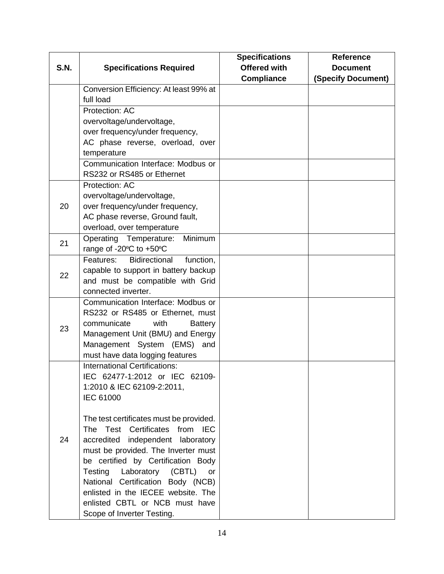|             |                                                                           | <b>Specifications</b> | <b>Reference</b>          |
|-------------|---------------------------------------------------------------------------|-----------------------|---------------------------|
| <b>S.N.</b> | <b>Specifications Required</b>                                            | <b>Offered with</b>   | <b>Document</b>           |
|             |                                                                           | <b>Compliance</b>     | <b>(Specify Document)</b> |
|             | Conversion Efficiency: At least 99% at                                    |                       |                           |
|             | full load                                                                 |                       |                           |
|             | Protection: AC                                                            |                       |                           |
|             | overvoltage/undervoltage,                                                 |                       |                           |
|             | over frequency/under frequency,                                           |                       |                           |
|             | AC phase reverse, overload, over                                          |                       |                           |
|             | temperature                                                               |                       |                           |
|             | Communication Interface: Modbus or                                        |                       |                           |
|             | RS232 or RS485 or Ethernet                                                |                       |                           |
|             | Protection: AC                                                            |                       |                           |
|             | overvoltage/undervoltage,                                                 |                       |                           |
| 20          | over frequency/under frequency,                                           |                       |                           |
|             | AC phase reverse, Ground fault,                                           |                       |                           |
|             | overload, over temperature                                                |                       |                           |
| 21          | Minimum<br>Operating Temperature:                                         |                       |                           |
|             | range of -20°C to +50°C                                                   |                       |                           |
|             | <b>Bidirectional</b><br>Features:<br>function,                            |                       |                           |
| 22          | capable to support in battery backup                                      |                       |                           |
|             | and must be compatible with Grid                                          |                       |                           |
|             | connected inverter.                                                       |                       |                           |
|             | Communication Interface: Modbus or                                        |                       |                           |
|             | RS232 or RS485 or Ethernet, must                                          |                       |                           |
| 23          | communicate<br>with<br><b>Battery</b>                                     |                       |                           |
|             | Management Unit (BMU) and Energy                                          |                       |                           |
|             | Management System (EMS) and                                               |                       |                           |
|             | must have data logging features                                           |                       |                           |
|             | <b>International Certifications:</b>                                      |                       |                           |
|             | IEC 62477-1:2012 or IEC 62109-                                            |                       |                           |
|             | 1:2010 & IEC 62109-2:2011,                                                |                       |                           |
|             | <b>IEC 61000</b>                                                          |                       |                           |
|             |                                                                           |                       |                           |
|             | The test certificates must be provided.<br>The Test Certificates from IEC |                       |                           |
| 24          | accredited independent laboratory                                         |                       |                           |
|             | must be provided. The Inverter must                                       |                       |                           |
|             | be certified by Certification Body                                        |                       |                           |
|             | Testing<br>Laboratory (CBTL)<br><b>or</b>                                 |                       |                           |
|             | National Certification Body (NCB)                                         |                       |                           |
|             | enlisted in the IECEE website. The                                        |                       |                           |
|             | enlisted CBTL or NCB must have                                            |                       |                           |
|             | Scope of Inverter Testing.                                                |                       |                           |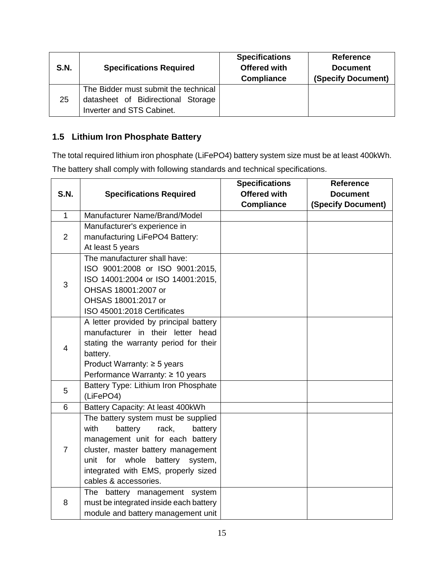| <b>S.N.</b> | <b>Specifications Required</b>                                                                          | <b>Specifications</b><br><b>Offered with</b><br><b>Compliance</b> | <b>Reference</b><br><b>Document</b><br>(Specify Document) |
|-------------|---------------------------------------------------------------------------------------------------------|-------------------------------------------------------------------|-----------------------------------------------------------|
| 25          | The Bidder must submit the technical<br>datasheet of Bidirectional Storage<br>Inverter and STS Cabinet. |                                                                   |                                                           |

# <span id="page-15-0"></span>**1.5 Lithium Iron Phosphate Battery**

The total required lithium iron phosphate (LiFePO4) battery system size must be at least 400kWh.

The battery shall comply with following standards and technical specifications.

|                |                                         | <b>Specifications</b> | <b>Reference</b>          |
|----------------|-----------------------------------------|-----------------------|---------------------------|
| <b>S.N.</b>    | <b>Specifications Required</b>          | <b>Offered with</b>   | <b>Document</b>           |
|                |                                         | <b>Compliance</b>     | <b>(Specify Document)</b> |
| $\mathbf{1}$   | Manufacturer Name/Brand/Model           |                       |                           |
|                | Manufacturer's experience in            |                       |                           |
| $\overline{2}$ | manufacturing LiFePO4 Battery:          |                       |                           |
|                | At least 5 years                        |                       |                           |
|                | The manufacturer shall have:            |                       |                           |
|                | ISO 9001:2008 or ISO 9001:2015,         |                       |                           |
| 3              | ISO 14001:2004 or ISO 14001:2015,       |                       |                           |
|                | OHSAS 18001:2007 or                     |                       |                           |
|                | OHSAS 18001:2017 or                     |                       |                           |
|                | ISO 45001:2018 Certificates             |                       |                           |
|                | A letter provided by principal battery  |                       |                           |
|                | manufacturer in their letter head       |                       |                           |
| $\overline{4}$ | stating the warranty period for their   |                       |                           |
|                | battery.                                |                       |                           |
|                | Product Warranty: $\geq$ 5 years        |                       |                           |
|                | Performance Warranty: ≥ 10 years        |                       |                           |
| 5              | Battery Type: Lithium Iron Phosphate    |                       |                           |
|                | (LiFePO4)                               |                       |                           |
| 6              | Battery Capacity: At least 400kWh       |                       |                           |
|                | The battery system must be supplied     |                       |                           |
|                | with<br>battery<br>rack,<br>battery     |                       |                           |
|                | management unit for each battery        |                       |                           |
| $\overline{7}$ | cluster, master battery management      |                       |                           |
|                | battery<br>unit<br>for whole<br>system, |                       |                           |
|                | integrated with EMS, properly sized     |                       |                           |
|                | cables & accessories.                   |                       |                           |
|                | The battery management system           |                       |                           |
| 8              | must be integrated inside each battery  |                       |                           |
|                | module and battery management unit      |                       |                           |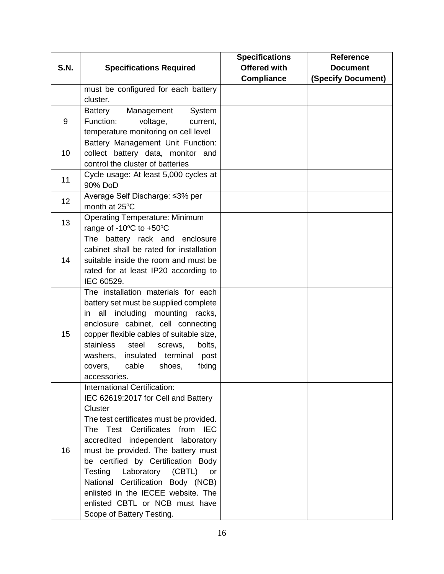|             |                                                                          | <b>Specifications</b> | <b>Reference</b>   |
|-------------|--------------------------------------------------------------------------|-----------------------|--------------------|
| <b>S.N.</b> | <b>Specifications Required</b>                                           | <b>Offered with</b>   | <b>Document</b>    |
|             |                                                                          | <b>Compliance</b>     | (Specify Document) |
|             | must be configured for each battery                                      |                       |                    |
|             | cluster.                                                                 |                       |                    |
|             | Management<br>System<br>Battery                                          |                       |                    |
| 9           | Function:<br>voltage,<br>current,                                        |                       |                    |
|             | temperature monitoring on cell level                                     |                       |                    |
|             | Battery Management Unit Function:                                        |                       |                    |
| 10          | collect battery data, monitor and                                        |                       |                    |
|             | control the cluster of batteries                                         |                       |                    |
| 11          | Cycle usage: At least 5,000 cycles at                                    |                       |                    |
|             | 90% DoD                                                                  |                       |                    |
| 12          | Average Self Discharge: ≤3% per                                          |                       |                    |
|             | month at 25°C                                                            |                       |                    |
| 13          | Operating Temperature: Minimum                                           |                       |                    |
|             | range of -10°C to +50°C                                                  |                       |                    |
|             | The battery rack and enclosure                                           |                       |                    |
|             | cabinet shall be rated for installation                                  |                       |                    |
| 14          | suitable inside the room and must be                                     |                       |                    |
|             | rated for at least IP20 according to                                     |                       |                    |
|             | IEC 60529.                                                               |                       |                    |
|             | The installation materials for each                                      |                       |                    |
|             | battery set must be supplied complete                                    |                       |                    |
|             | in all including mounting racks,                                         |                       |                    |
| 15          | enclosure cabinet, cell connecting                                       |                       |                    |
|             | copper flexible cables of suitable size,<br>stainless<br>steel<br>bolts, |                       |                    |
|             | screws,<br>insulated terminal<br>washers,<br>post                        |                       |                    |
|             | cable<br>fixing<br>covers,<br>shoes,                                     |                       |                    |
|             | accessories.                                                             |                       |                    |
|             | International Certification:                                             |                       |                    |
|             | IEC 62619:2017 for Cell and Battery                                      |                       |                    |
|             | Cluster                                                                  |                       |                    |
|             | The test certificates must be provided.                                  |                       |                    |
|             | The Test Certificates from IEC                                           |                       |                    |
|             | accredited independent laboratory                                        |                       |                    |
| 16          | must be provided. The battery must                                       |                       |                    |
|             | be certified by Certification Body                                       |                       |                    |
|             | Laboratory (CBTL)<br>Testing<br><b>or</b>                                |                       |                    |
|             | National Certification Body (NCB)                                        |                       |                    |
|             | enlisted in the IECEE website. The                                       |                       |                    |
|             | enlisted CBTL or NCB must have                                           |                       |                    |
|             | Scope of Battery Testing.                                                |                       |                    |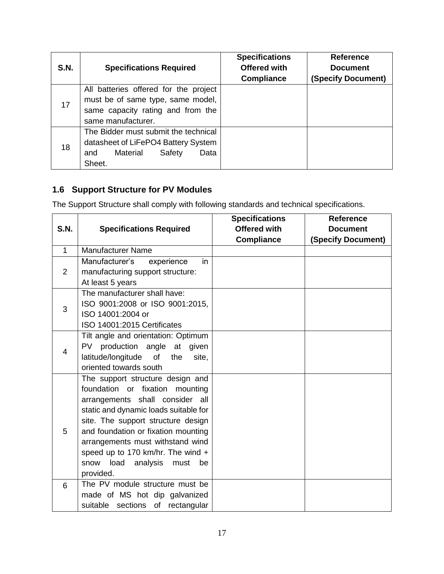| <b>S.N.</b> | <b>Specifications Required</b>                                                                                                        | <b>Specifications</b><br><b>Offered with</b><br><b>Compliance</b> | <b>Reference</b><br><b>Document</b><br><b>(Specify Document)</b> |
|-------------|---------------------------------------------------------------------------------------------------------------------------------------|-------------------------------------------------------------------|------------------------------------------------------------------|
| 17          | All batteries offered for the project<br>must be of same type, same model,<br>same capacity rating and from the<br>same manufacturer. |                                                                   |                                                                  |
| 18          | The Bidder must submit the technical<br>datasheet of LiFePO4 Battery System<br>Material<br>Safety<br>Data<br>and<br>Sheet.            |                                                                   |                                                                  |

# <span id="page-17-0"></span>**1.6 Support Structure for PV Modules**

The Support Structure shall comply with following standards and technical specifications.

|                |                                        | <b>Specifications</b> | <b>Reference</b>          |
|----------------|----------------------------------------|-----------------------|---------------------------|
| <b>S.N.</b>    | <b>Specifications Required</b>         | <b>Offered with</b>   | <b>Document</b>           |
|                |                                        | <b>Compliance</b>     | <b>(Specify Document)</b> |
| $\mathbf{1}$   | <b>Manufacturer Name</b>               |                       |                           |
|                | Manufacturer's<br>experience<br>in     |                       |                           |
| $\overline{2}$ | manufacturing support structure:       |                       |                           |
|                | At least 5 years                       |                       |                           |
|                | The manufacturer shall have:           |                       |                           |
| 3              | ISO 9001:2008 or ISO 9001:2015,        |                       |                           |
|                | ISO 14001:2004 or                      |                       |                           |
|                | ISO 14001:2015 Certificates            |                       |                           |
|                | Tilt angle and orientation: Optimum    |                       |                           |
| 4              | PV production angle at given           |                       |                           |
|                | latitude/longitude of<br>the<br>site,  |                       |                           |
|                | oriented towards south                 |                       |                           |
|                | The support structure design and       |                       |                           |
|                | foundation or fixation mounting        |                       |                           |
|                | arrangements shall consider all        |                       |                           |
|                | static and dynamic loads suitable for  |                       |                           |
|                | site. The support structure design     |                       |                           |
| 5              | and foundation or fixation mounting    |                       |                           |
|                | arrangements must withstand wind       |                       |                           |
|                | speed up to 170 km/hr. The wind +      |                       |                           |
|                | load<br>snow<br>analysis<br>must<br>be |                       |                           |
|                | provided.                              |                       |                           |
| 6              | The PV module structure must be        |                       |                           |
|                | made of MS hot dip galvanized          |                       |                           |
|                | suitable sections of rectangular       |                       |                           |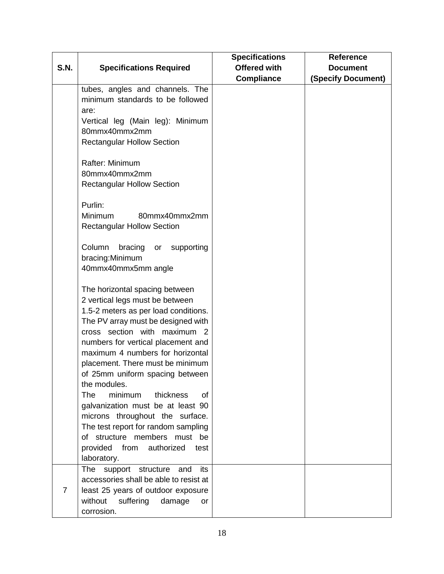|             |                                                                                                                                                                                                                                                                                                                                                                                                                                                                                                                                                                                                                                                                                    | <b>Specifications</b> | <b>Reference</b>   |
|-------------|------------------------------------------------------------------------------------------------------------------------------------------------------------------------------------------------------------------------------------------------------------------------------------------------------------------------------------------------------------------------------------------------------------------------------------------------------------------------------------------------------------------------------------------------------------------------------------------------------------------------------------------------------------------------------------|-----------------------|--------------------|
| <b>S.N.</b> | <b>Specifications Required</b>                                                                                                                                                                                                                                                                                                                                                                                                                                                                                                                                                                                                                                                     | <b>Offered with</b>   | <b>Document</b>    |
|             |                                                                                                                                                                                                                                                                                                                                                                                                                                                                                                                                                                                                                                                                                    | <b>Compliance</b>     | (Specify Document) |
|             | tubes, angles and channels. The<br>minimum standards to be followed<br>are:<br>Vertical leg (Main leg): Minimum<br>80mmx40mmx2mm<br><b>Rectangular Hollow Section</b><br>Rafter: Minimum<br>80mmx40mmx2mm<br><b>Rectangular Hollow Section</b><br>Purlin:<br><b>Minimum</b><br>80mmx40mmx2mm<br><b>Rectangular Hollow Section</b><br>Column<br>bracing<br>supporting<br>or<br>bracing: Minimum<br>40mmx40mmx5mm angle<br>The horizontal spacing between<br>2 vertical legs must be between<br>1.5-2 meters as per load conditions.<br>The PV array must be designed with<br>cross section with maximum 2<br>numbers for vertical placement and<br>maximum 4 numbers for horizontal |                       |                    |
|             | placement. There must be minimum<br>of 25mm uniform spacing between<br>the modules.<br><b>The</b><br>minimum<br>thickness<br>0f<br>galvanization must be at least 90<br>microns throughout the surface.<br>The test report for random sampling<br>of structure members must be<br>provided from authorized<br>test                                                                                                                                                                                                                                                                                                                                                                 |                       |                    |
|             | laboratory.<br>The<br>support structure<br>and<br>its                                                                                                                                                                                                                                                                                                                                                                                                                                                                                                                                                                                                                              |                       |                    |
| 7           | accessories shall be able to resist at<br>least 25 years of outdoor exposure<br>without<br>suffering<br>damage<br><b>or</b><br>corrosion.                                                                                                                                                                                                                                                                                                                                                                                                                                                                                                                                          |                       |                    |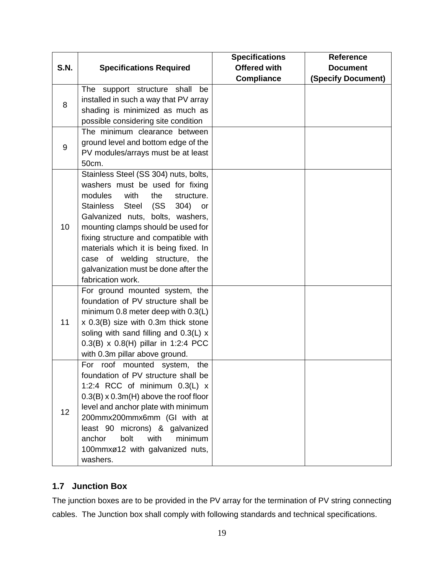|             |                                              | <b>Specifications</b> | <b>Reference</b>          |
|-------------|----------------------------------------------|-----------------------|---------------------------|
| <b>S.N.</b> | <b>Specifications Required</b>               | <b>Offered with</b>   | <b>Document</b>           |
|             |                                              | <b>Compliance</b>     | <b>(Specify Document)</b> |
|             | The support structure shall<br>be            |                       |                           |
| 8           | installed in such a way that PV array        |                       |                           |
|             | shading is minimized as much as              |                       |                           |
|             | possible considering site condition          |                       |                           |
|             | The minimum clearance between                |                       |                           |
| 9           | ground level and bottom edge of the          |                       |                           |
|             | PV modules/arrays must be at least           |                       |                           |
|             | 50cm.                                        |                       |                           |
|             | Stainless Steel (SS 304) nuts, bolts,        |                       |                           |
|             | washers must be used for fixing              |                       |                           |
|             | modules<br>with<br>the<br>structure.         |                       |                           |
|             | Stainless Steel (SS<br>304)<br>or            |                       |                           |
|             | Galvanized nuts, bolts, washers,             |                       |                           |
| 10          | mounting clamps should be used for           |                       |                           |
|             | fixing structure and compatible with         |                       |                           |
|             | materials which it is being fixed. In        |                       |                           |
|             | case of welding structure, the               |                       |                           |
|             | galvanization must be done after the         |                       |                           |
|             | fabrication work.                            |                       |                           |
|             | For ground mounted system, the               |                       |                           |
|             | foundation of PV structure shall be          |                       |                           |
|             | minimum 0.8 meter deep with 0.3(L)           |                       |                           |
| 11          | x 0.3(B) size with 0.3m thick stone          |                       |                           |
|             | soling with sand filling and 0.3(L) x        |                       |                           |
|             | $0.3(B) \times 0.8(H)$ pillar in 1:2:4 PCC   |                       |                           |
|             | with 0.3m pillar above ground.               |                       |                           |
|             | For roof mounted system,<br>the              |                       |                           |
|             | foundation of PV structure shall be          |                       |                           |
|             | 1:2:4 RCC of minimum $0.3(L)$ x              |                       |                           |
|             | $0.3(B) \times 0.3m(H)$ above the roof floor |                       |                           |
| 12          | level and anchor plate with minimum          |                       |                           |
|             | 200mmx200mmx6mm (GI with at                  |                       |                           |
|             | least 90 microns) & galvanized               |                       |                           |
|             | bolt<br>with<br>minimum<br>anchor            |                       |                           |
|             | 100mmxø12 with galvanized nuts,              |                       |                           |
|             | washers.                                     |                       |                           |

# <span id="page-19-0"></span>**1.7 Junction Box**

The junction boxes are to be provided in the PV array for the termination of PV string connecting cables. The Junction box shall comply with following standards and technical specifications.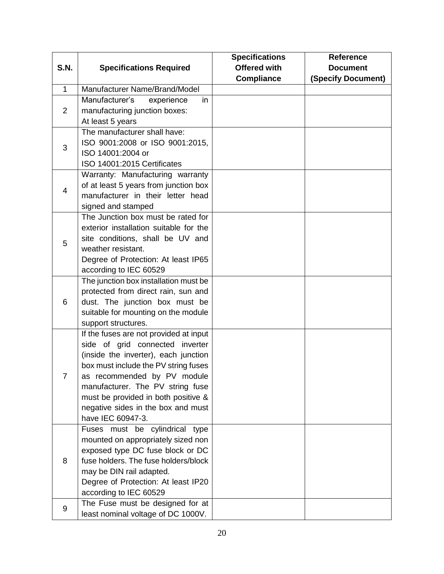|                |                                        | <b>Specifications</b> | <b>Reference</b>   |
|----------------|----------------------------------------|-----------------------|--------------------|
| <b>S.N.</b>    | <b>Specifications Required</b>         | <b>Offered with</b>   | <b>Document</b>    |
|                |                                        | <b>Compliance</b>     | (Specify Document) |
| $\mathbf{1}$   | Manufacturer Name/Brand/Model          |                       |                    |
|                | Manufacturer's<br>experience<br>in     |                       |                    |
| $\overline{2}$ | manufacturing junction boxes:          |                       |                    |
|                | At least 5 years                       |                       |                    |
|                | The manufacturer shall have:           |                       |                    |
| 3              | ISO 9001:2008 or ISO 9001:2015,        |                       |                    |
|                | ISO 14001:2004 or                      |                       |                    |
|                | ISO 14001:2015 Certificates            |                       |                    |
|                | Warranty: Manufacturing warranty       |                       |                    |
| 4              | of at least 5 years from junction box  |                       |                    |
|                | manufacturer in their letter head      |                       |                    |
|                | signed and stamped                     |                       |                    |
|                | The Junction box must be rated for     |                       |                    |
|                | exterior installation suitable for the |                       |                    |
| 5              | site conditions, shall be UV and       |                       |                    |
|                | weather resistant.                     |                       |                    |
|                | Degree of Protection: At least IP65    |                       |                    |
|                | according to IEC 60529                 |                       |                    |
|                | The junction box installation must be  |                       |                    |
|                | protected from direct rain, sun and    |                       |                    |
| 6              | dust. The junction box must be         |                       |                    |
|                | suitable for mounting on the module    |                       |                    |
|                | support structures.                    |                       |                    |
|                | If the fuses are not provided at input |                       |                    |
|                | side of grid connected inverter        |                       |                    |
|                | (inside the inverter), each junction   |                       |                    |
|                | box must include the PV string fuses   |                       |                    |
| 7              | as recommended by PV module            |                       |                    |
|                | manufacturer. The PV string fuse       |                       |                    |
|                | must be provided in both positive &    |                       |                    |
|                | negative sides in the box and must     |                       |                    |
|                | have IEC 60947-3.                      |                       |                    |
|                | Fuses must be cylindrical type         |                       |                    |
|                | mounted on appropriately sized non     |                       |                    |
| 8              | exposed type DC fuse block or DC       |                       |                    |
|                | fuse holders. The fuse holders/block   |                       |                    |
|                | may be DIN rail adapted.               |                       |                    |
|                | Degree of Protection: At least IP20    |                       |                    |
|                | according to IEC 60529                 |                       |                    |
| 9              | The Fuse must be designed for at       |                       |                    |
|                | least nominal voltage of DC 1000V.     |                       |                    |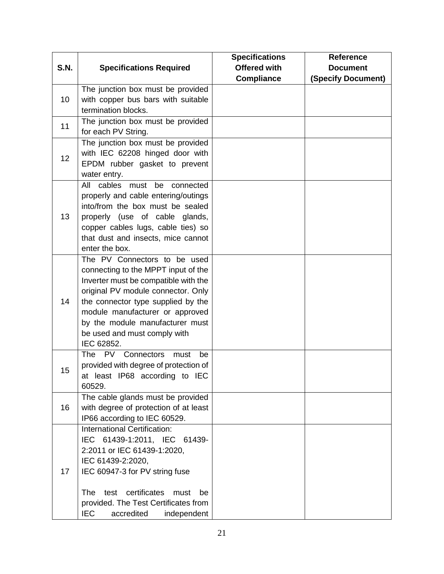|             |                                         | <b>Specifications</b> | Reference                 |
|-------------|-----------------------------------------|-----------------------|---------------------------|
| <b>S.N.</b> | <b>Specifications Required</b>          | <b>Offered with</b>   | <b>Document</b>           |
|             |                                         | <b>Compliance</b>     | <b>(Specify Document)</b> |
|             | The junction box must be provided       |                       |                           |
| 10          | with copper bus bars with suitable      |                       |                           |
|             | termination blocks.                     |                       |                           |
|             | The junction box must be provided       |                       |                           |
| 11          | for each PV String.                     |                       |                           |
|             | The junction box must be provided       |                       |                           |
| 12          | with IEC 62208 hinged door with         |                       |                           |
|             | EPDM rubber gasket to prevent           |                       |                           |
|             | water entry.                            |                       |                           |
|             | All cables must be connected            |                       |                           |
|             | properly and cable entering/outings     |                       |                           |
|             | into/from the box must be sealed        |                       |                           |
| 13          | properly (use of cable glands,          |                       |                           |
|             | copper cables lugs, cable ties) so      |                       |                           |
|             | that dust and insects, mice cannot      |                       |                           |
|             | enter the box.                          |                       |                           |
|             | The PV Connectors to be used            |                       |                           |
|             | connecting to the MPPT input of the     |                       |                           |
|             | Inverter must be compatible with the    |                       |                           |
|             | original PV module connector. Only      |                       |                           |
| 14          | the connector type supplied by the      |                       |                           |
|             | module manufacturer or approved         |                       |                           |
|             | by the module manufacturer must         |                       |                           |
|             | be used and must comply with            |                       |                           |
|             | IEC 62852.                              |                       |                           |
|             | The PV Connectors<br>must<br>be         |                       |                           |
|             | provided with degree of protection of   |                       |                           |
| 15          | at least IP68 according to IEC          |                       |                           |
|             | 60529.                                  |                       |                           |
|             | The cable glands must be provided       |                       |                           |
| 16          | with degree of protection of at least   |                       |                           |
|             | IP66 according to IEC 60529.            |                       |                           |
|             | International Certification:            |                       |                           |
|             | IEC 61439-1:2011, IEC 61439-            |                       |                           |
|             | 2:2011 or IEC 61439-1:2020,             |                       |                           |
|             | IEC 61439-2:2020,                       |                       |                           |
| 17          | IEC 60947-3 for PV string fuse          |                       |                           |
|             |                                         |                       |                           |
|             | test certificates<br>The<br>must<br>be  |                       |                           |
|             | provided. The Test Certificates from    |                       |                           |
|             | <b>IEC</b><br>accredited<br>independent |                       |                           |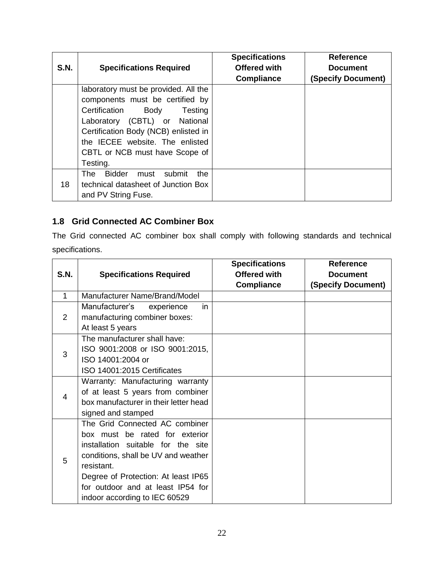| S.N. | <b>Specifications Required</b>                                                                                                                                                                                                                                        | <b>Specifications</b><br>Offered with<br><b>Compliance</b> | <b>Reference</b><br><b>Document</b><br>(Specify Document) |
|------|-----------------------------------------------------------------------------------------------------------------------------------------------------------------------------------------------------------------------------------------------------------------------|------------------------------------------------------------|-----------------------------------------------------------|
|      | laboratory must be provided. All the<br>components must be certified by<br>Certification<br>Body<br>Testing<br>Laboratory (CBTL) or National<br>Certification Body (NCB) enlisted in<br>the IECEE website. The enlisted<br>CBTL or NCB must have Scope of<br>Testing. |                                                            |                                                           |
| 18   | <b>Bidder</b><br>submit<br>the<br>The l<br>must<br>technical datasheet of Junction Box<br>and PV String Fuse.                                                                                                                                                         |                                                            |                                                           |

# <span id="page-22-0"></span>**1.8 Grid Connected AC Combiner Box**

The Grid connected AC combiner box shall comply with following standards and technical specifications.

|              |                                       | <b>Specifications</b> | <b>Reference</b>          |
|--------------|---------------------------------------|-----------------------|---------------------------|
| <b>S.N.</b>  | <b>Specifications Required</b>        | <b>Offered with</b>   | <b>Document</b>           |
|              |                                       | <b>Compliance</b>     | <b>(Specify Document)</b> |
| $\mathbf{1}$ | Manufacturer Name/Brand/Model         |                       |                           |
|              | Manufacturer's<br>experience<br>in.   |                       |                           |
| 2            | manufacturing combiner boxes:         |                       |                           |
|              | At least 5 years                      |                       |                           |
|              | The manufacturer shall have:          |                       |                           |
| 3            | ISO 9001:2008 or ISO 9001:2015,       |                       |                           |
|              | ISO 14001:2004 or                     |                       |                           |
|              | ISO 14001:2015 Certificates           |                       |                           |
|              | Warranty: Manufacturing warranty      |                       |                           |
| 4            | of at least 5 years from combiner     |                       |                           |
|              | box manufacturer in their letter head |                       |                           |
|              | signed and stamped                    |                       |                           |
|              | The Grid Connected AC combiner        |                       |                           |
|              | box must be rated for exterior        |                       |                           |
|              | installation suitable for the site    |                       |                           |
|              | conditions, shall be UV and weather   |                       |                           |
| 5            | resistant.                            |                       |                           |
|              | Degree of Protection: At least IP65   |                       |                           |
|              | for outdoor and at least IP54 for     |                       |                           |
|              | indoor according to IEC 60529         |                       |                           |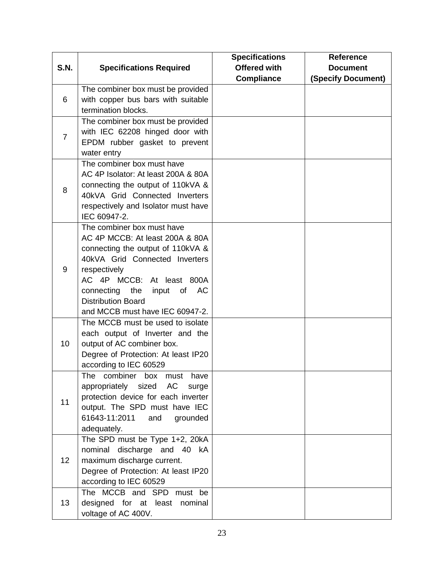|                |                                     | <b>Specifications</b> | Reference                 |
|----------------|-------------------------------------|-----------------------|---------------------------|
| <b>S.N.</b>    | <b>Specifications Required</b>      | <b>Offered with</b>   | <b>Document</b>           |
|                |                                     | <b>Compliance</b>     | <b>(Specify Document)</b> |
|                | The combiner box must be provided   |                       |                           |
| 6              | with copper bus bars with suitable  |                       |                           |
|                | termination blocks.                 |                       |                           |
|                | The combiner box must be provided   |                       |                           |
| $\overline{7}$ | with IEC 62208 hinged door with     |                       |                           |
|                | EPDM rubber gasket to prevent       |                       |                           |
|                | water entry                         |                       |                           |
|                | The combiner box must have          |                       |                           |
|                | AC 4P Isolator: At least 200A & 80A |                       |                           |
|                | connecting the output of 110kVA &   |                       |                           |
| 8              | 40kVA Grid Connected Inverters      |                       |                           |
|                | respectively and Isolator must have |                       |                           |
|                | IEC 60947-2.                        |                       |                           |
|                | The combiner box must have          |                       |                           |
|                | AC 4P MCCB: At least 200A & 80A     |                       |                           |
|                | connecting the output of 110kVA &   |                       |                           |
|                | 40kVA Grid Connected Inverters      |                       |                           |
| 9              | respectively                        |                       |                           |
|                | AC 4P MCCB: At least 800A           |                       |                           |
|                | connecting the<br>input of AC       |                       |                           |
|                | <b>Distribution Board</b>           |                       |                           |
|                | and MCCB must have IEC 60947-2.     |                       |                           |
|                | The MCCB must be used to isolate    |                       |                           |
|                | each output of Inverter and the     |                       |                           |
| 10             | output of AC combiner box.          |                       |                           |
|                | Degree of Protection: At least IP20 |                       |                           |
|                | according to IEC 60529              |                       |                           |
|                | The combiner box must have          |                       |                           |
|                | appropriately sized AC surge        |                       |                           |
|                | protection device for each inverter |                       |                           |
| 11             | output. The SPD must have IEC       |                       |                           |
|                | 61643-11:2011<br>and<br>grounded    |                       |                           |
|                | adequately.                         |                       |                           |
|                | The SPD must be Type 1+2, 20kA      |                       |                           |
|                | nominal discharge and 40 kA         |                       |                           |
| 12             | maximum discharge current.          |                       |                           |
|                | Degree of Protection: At least IP20 |                       |                           |
|                | according to IEC 60529              |                       |                           |
|                | The MCCB and SPD must be            |                       |                           |
| 13             | designed for at least nominal       |                       |                           |
|                | voltage of AC 400V.                 |                       |                           |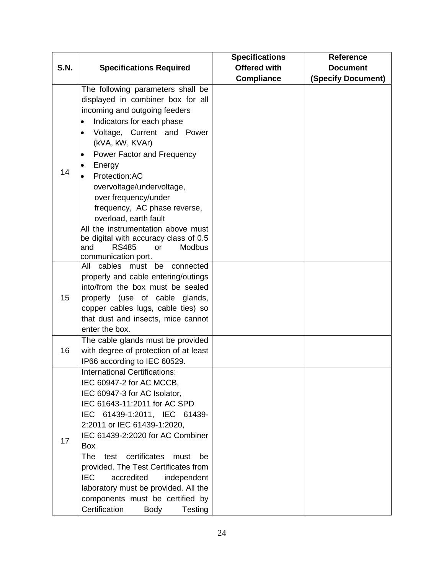|             |                                                                                                                                                                                                                                                                                                                                                                                                                                                                                                             | <b>Specifications</b> | <b>Reference</b>          |
|-------------|-------------------------------------------------------------------------------------------------------------------------------------------------------------------------------------------------------------------------------------------------------------------------------------------------------------------------------------------------------------------------------------------------------------------------------------------------------------------------------------------------------------|-----------------------|---------------------------|
| <b>S.N.</b> | <b>Specifications Required</b>                                                                                                                                                                                                                                                                                                                                                                                                                                                                              | <b>Offered with</b>   | <b>Document</b>           |
|             |                                                                                                                                                                                                                                                                                                                                                                                                                                                                                                             | <b>Compliance</b>     | <b>(Specify Document)</b> |
| 14          | The following parameters shall be<br>displayed in combiner box for all<br>incoming and outgoing feeders<br>Indicators for each phase<br>Voltage, Current and Power<br>$\bullet$<br>(kVA, kW, KVAr)<br>Power Factor and Frequency<br>٠<br>Energy<br>Protection:AC<br>overvoltage/undervoltage,<br>over frequency/under<br>frequency, AC phase reverse,<br>overload, earth fault<br>All the instrumentation above must<br>be digital with accuracy class of 0.5<br><b>RS485</b><br>and<br><b>Modbus</b><br>or |                       |                           |
| 15          | communication port.<br>be<br>cables must<br>All<br>connected<br>properly and cable entering/outings<br>into/from the box must be sealed<br>properly (use of cable glands,<br>copper cables lugs, cable ties) so<br>that dust and insects, mice cannot<br>enter the box.                                                                                                                                                                                                                                     |                       |                           |
| 16          | The cable glands must be provided<br>with degree of protection of at least<br>IP66 according to IEC 60529.                                                                                                                                                                                                                                                                                                                                                                                                  |                       |                           |
| 17          | <b>International Certifications:</b><br>IEC 60947-2 for AC MCCB,<br>IEC 60947-3 for AC Isolator,<br>IEC 61643-11:2011 for AC SPD<br>IEC 61439-1:2011, IEC 61439-<br>2:2011 or IEC 61439-1:2020,<br>IEC 61439-2:2020 for AC Combiner<br><b>Box</b><br><b>The</b><br>test certificates<br>must<br>be<br>provided. The Test Certificates from<br><b>IEC</b><br>accredited<br>independent<br>laboratory must be provided. All the<br>components must be certified by<br>Certification<br><b>Body</b><br>Testing |                       |                           |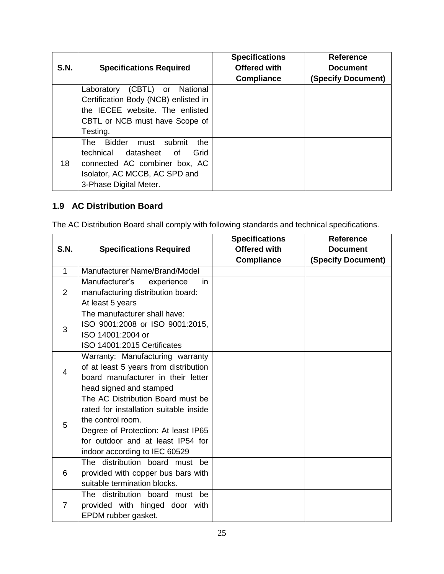| S.N. | <b>Specifications Required</b>                                                                                                                                                   | <b>Specifications</b><br><b>Offered with</b><br><b>Compliance</b> | <b>Reference</b><br><b>Document</b><br>(Specify Document) |
|------|----------------------------------------------------------------------------------------------------------------------------------------------------------------------------------|-------------------------------------------------------------------|-----------------------------------------------------------|
|      | (CBTL)<br>National<br>Laboratory<br>or<br>Certification Body (NCB) enlisted in<br>the IECEE website. The enlisted<br>CBTL or NCB must have Scope of<br>Testing.                  |                                                                   |                                                           |
| 18   | <b>Bidder</b><br>submit<br>the<br>The l<br>must<br>technical datasheet<br>Grid<br>of<br>connected AC combiner box, AC<br>Isolator, AC MCCB, AC SPD and<br>3-Phase Digital Meter. |                                                                   |                                                           |

# <span id="page-25-0"></span>**1.9 AC Distribution Board**

The AC Distribution Board shall comply with following standards and technical specifications.

| <b>S.N.</b>  | <b>Specifications Required</b>                                                                                                                                                                                | <b>Specifications</b><br><b>Offered with</b> | <b>Reference</b><br><b>Document</b> |
|--------------|---------------------------------------------------------------------------------------------------------------------------------------------------------------------------------------------------------------|----------------------------------------------|-------------------------------------|
|              |                                                                                                                                                                                                               | <b>Compliance</b>                            | <b>(Specify Document)</b>           |
| $\mathbf{1}$ | Manufacturer Name/Brand/Model                                                                                                                                                                                 |                                              |                                     |
| 2            | Manufacturer's<br>experience<br>in.<br>manufacturing distribution board:<br>At least 5 years                                                                                                                  |                                              |                                     |
| 3            | The manufacturer shall have:<br>ISO 9001:2008 or ISO 9001:2015,<br>ISO 14001:2004 or<br>ISO 14001:2015 Certificates                                                                                           |                                              |                                     |
| 4            | Warranty: Manufacturing warranty<br>of at least 5 years from distribution<br>board manufacturer in their letter<br>head signed and stamped                                                                    |                                              |                                     |
| 5            | The AC Distribution Board must be<br>rated for installation suitable inside<br>the control room.<br>Degree of Protection: At least IP65<br>for outdoor and at least IP54 for<br>indoor according to IEC 60529 |                                              |                                     |
| 6            | The distribution board must<br>he.<br>provided with copper bus bars with<br>suitable termination blocks.                                                                                                      |                                              |                                     |
| 7            | The distribution board must<br>be.<br>provided with hinged door with<br>EPDM rubber gasket.                                                                                                                   |                                              |                                     |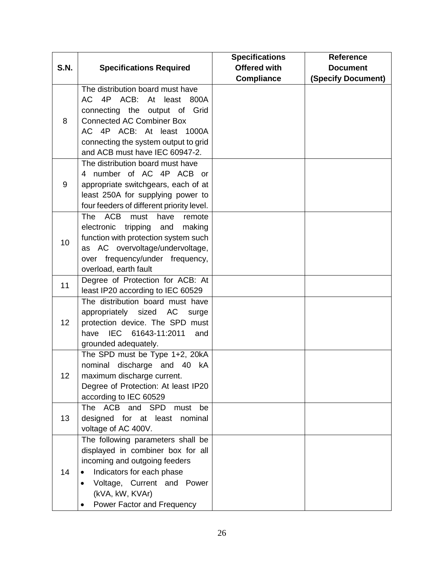|             |                                                                        | <b>Specifications</b> | <b>Reference</b>          |
|-------------|------------------------------------------------------------------------|-----------------------|---------------------------|
| <b>S.N.</b> | <b>Specifications Required</b>                                         | <b>Offered with</b>   | <b>Document</b>           |
|             |                                                                        | <b>Compliance</b>     | <b>(Specify Document)</b> |
|             | The distribution board must have                                       |                       |                           |
|             | AC 4P ACB:<br>At least<br>800A                                         |                       |                           |
|             | connecting the output of Grid                                          |                       |                           |
| 8           | <b>Connected AC Combiner Box</b>                                       |                       |                           |
|             | AC 4P ACB: At least 1000A                                              |                       |                           |
|             | connecting the system output to grid                                   |                       |                           |
|             | and ACB must have IEC 60947-2.                                         |                       |                           |
|             | The distribution board must have                                       |                       |                           |
|             | 4 number of AC 4P ACB or                                               |                       |                           |
| 9           | appropriate switchgears, each of at                                    |                       |                           |
|             | least 250A for supplying power to                                      |                       |                           |
|             | four feeders of different priority level.                              |                       |                           |
|             | <b>ACB</b><br><b>The</b><br>must<br>have<br>remote                     |                       |                           |
|             | electronic<br>tripping<br>making<br>and                                |                       |                           |
| 10          | function with protection system such                                   |                       |                           |
|             | as AC overvoltage/undervoltage,                                        |                       |                           |
|             | over frequency/under frequency,                                        |                       |                           |
|             | overload, earth fault                                                  |                       |                           |
| 11          | Degree of Protection for ACB: At                                       |                       |                           |
|             | least IP20 according to IEC 60529                                      |                       |                           |
|             | The distribution board must have                                       |                       |                           |
|             | appropriately sized AC<br>surge                                        |                       |                           |
| 12          | protection device. The SPD must                                        |                       |                           |
|             | have IEC 61643-11:2011<br>and                                          |                       |                           |
|             | grounded adequately.                                                   |                       |                           |
|             | The SPD must be Type 1+2, 20kA                                         |                       |                           |
|             | nominal<br>discharge<br>and<br>40 kA                                   |                       |                           |
| 12          | maximum discharge current.                                             |                       |                           |
|             | Degree of Protection: At least IP20                                    |                       |                           |
|             | according to IEC 60529                                                 |                       |                           |
| 13          | The ACB and SPD<br>must<br>be                                          |                       |                           |
|             | designed for at least<br>nominal                                       |                       |                           |
|             | voltage of AC 400V.                                                    |                       |                           |
|             | The following parameters shall be<br>displayed in combiner box for all |                       |                           |
|             |                                                                        |                       |                           |
| 14          | incoming and outgoing feeders                                          |                       |                           |
|             | Indicators for each phase                                              |                       |                           |
|             | Voltage, Current and Power<br>$\bullet$                                |                       |                           |
|             | (kVA, kW, KVAr)                                                        |                       |                           |
|             | Power Factor and Frequency                                             |                       |                           |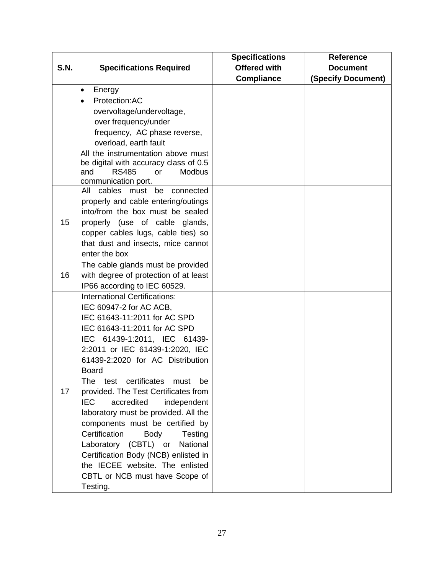|             |                                                   | <b>Specifications</b> | <b>Reference</b>          |
|-------------|---------------------------------------------------|-----------------------|---------------------------|
| <b>S.N.</b> | <b>Specifications Required</b>                    | <b>Offered with</b>   | <b>Document</b>           |
|             |                                                   | <b>Compliance</b>     | <b>(Specify Document)</b> |
|             | Energy<br>$\bullet$                               |                       |                           |
|             | Protection:AC<br>$\bullet$                        |                       |                           |
|             | overvoltage/undervoltage,                         |                       |                           |
|             | over frequency/under                              |                       |                           |
|             | frequency, AC phase reverse,                      |                       |                           |
|             | overload, earth fault                             |                       |                           |
|             | All the instrumentation above must                |                       |                           |
|             | be digital with accuracy class of 0.5             |                       |                           |
|             | <b>RS485</b><br>and<br><b>Modbus</b><br><b>or</b> |                       |                           |
|             | communication port.                               |                       |                           |
|             | All cables must be<br>connected                   |                       |                           |
|             | properly and cable entering/outings               |                       |                           |
|             | into/from the box must be sealed                  |                       |                           |
| 15          | properly (use of cable glands,                    |                       |                           |
|             | copper cables lugs, cable ties) so                |                       |                           |
|             | that dust and insects, mice cannot                |                       |                           |
|             | enter the box                                     |                       |                           |
|             | The cable glands must be provided                 |                       |                           |
| 16          | with degree of protection of at least             |                       |                           |
|             | IP66 according to IEC 60529.                      |                       |                           |
|             | <b>International Certifications:</b>              |                       |                           |
|             | IEC 60947-2 for AC ACB,                           |                       |                           |
|             | IEC 61643-11:2011 for AC SPD                      |                       |                           |
|             | IEC 61643-11:2011 for AC SPD                      |                       |                           |
|             | IEC 61439-1:2011, IEC 61439-                      |                       |                           |
|             | 2:2011 or IEC 61439-1:2020, IEC                   |                       |                           |
|             | 61439-2:2020 for AC Distribution                  |                       |                           |
|             | <b>Board</b>                                      |                       |                           |
|             | certificates<br>test<br>must<br>The<br>be         |                       |                           |
| 17          | provided. The Test Certificates from              |                       |                           |
|             | <b>IEC</b><br>independent<br>accredited           |                       |                           |
|             | laboratory must be provided. All the              |                       |                           |
|             | components must be certified by                   |                       |                           |
|             | Certification<br><b>Body</b><br>Testing           |                       |                           |
|             | Laboratory<br>(CBTL) or<br>National               |                       |                           |
|             | Certification Body (NCB) enlisted in              |                       |                           |
|             | the IECEE website. The enlisted                   |                       |                           |
|             | CBTL or NCB must have Scope of                    |                       |                           |
|             | Testing.                                          |                       |                           |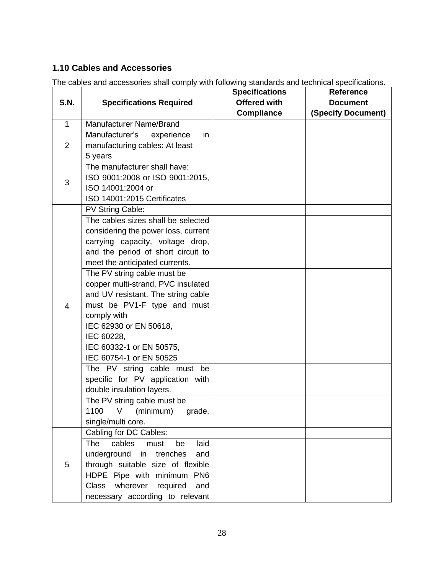# <span id="page-28-0"></span>**1.10 Cables and Accessories**

|                |                                     | <b>Specifications</b> | <b>Reference</b>          |
|----------------|-------------------------------------|-----------------------|---------------------------|
| <b>S.N.</b>    | <b>Specifications Required</b>      | <b>Offered with</b>   | <b>Document</b>           |
|                |                                     | <b>Compliance</b>     | <b>(Specify Document)</b> |
| $\mathbf{1}$   | <b>Manufacturer Name/Brand</b>      |                       |                           |
|                | Manufacturer's experience<br>in     |                       |                           |
| 2              | manufacturing cables: At least      |                       |                           |
|                | 5 years                             |                       |                           |
|                | The manufacturer shall have:        |                       |                           |
| 3              | ISO 9001:2008 or ISO 9001:2015,     |                       |                           |
|                | ISO 14001:2004 or                   |                       |                           |
|                | ISO 14001:2015 Certificates         |                       |                           |
|                | PV String Cable:                    |                       |                           |
|                | The cables sizes shall be selected  |                       |                           |
|                | considering the power loss, current |                       |                           |
|                | carrying capacity, voltage drop,    |                       |                           |
|                | and the period of short circuit to  |                       |                           |
|                | meet the anticipated currents.      |                       |                           |
|                | The PV string cable must be         |                       |                           |
|                | copper multi-strand, PVC insulated  |                       |                           |
|                | and UV resistant. The string cable  |                       |                           |
| $\overline{4}$ | must be PV1-F type and must         |                       |                           |
|                | comply with                         |                       |                           |
|                | IEC 62930 or EN 50618,              |                       |                           |
|                | IEC 60228,                          |                       |                           |
|                | IEC 60332-1 or EN 50575,            |                       |                           |
|                | IEC 60754-1 or EN 50525             |                       |                           |
|                | The PV string cable must be         |                       |                           |
|                | specific for PV application with    |                       |                           |
|                | double insulation layers.           |                       |                           |
|                | The PV string cable must be         |                       |                           |
|                | 1100 V (minimum) grade,             |                       |                           |
|                | single/multi core.                  |                       |                           |
|                | Cabling for DC Cables:              |                       |                           |
|                | The cables<br>laid<br>must<br>be    |                       |                           |
|                | underground in trenches<br>and      |                       |                           |
| 5              | through suitable size of flexible   |                       |                           |
|                | HDPE Pipe with minimum PN6          |                       |                           |
|                | Class wherever required<br>and      |                       |                           |
|                | necessary according to relevant     |                       |                           |

The cables and accessories shall comply with following standards and technical specifications.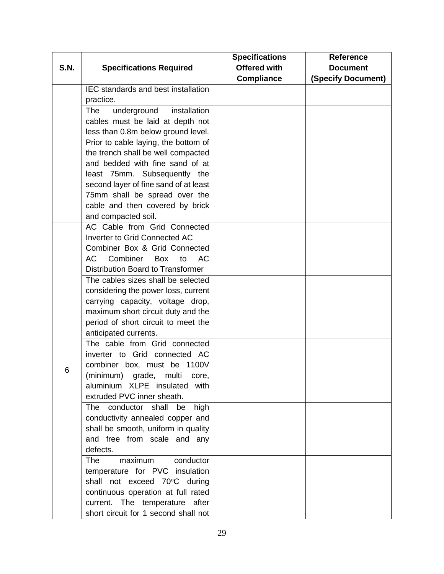|             |                                           | <b>Specifications</b> | Reference          |
|-------------|-------------------------------------------|-----------------------|--------------------|
| <b>S.N.</b> | <b>Specifications Required</b>            | <b>Offered with</b>   | <b>Document</b>    |
|             |                                           | <b>Compliance</b>     | (Specify Document) |
|             | IEC standards and best installation       |                       |                    |
|             | practice.                                 |                       |                    |
|             | <b>The</b><br>underground<br>installation |                       |                    |
|             | cables must be laid at depth not          |                       |                    |
|             | less than 0.8m below ground level.        |                       |                    |
|             | Prior to cable laying, the bottom of      |                       |                    |
|             | the trench shall be well compacted        |                       |                    |
|             | and bedded with fine sand of at           |                       |                    |
|             | least 75mm. Subsequently the              |                       |                    |
|             | second layer of fine sand of at least     |                       |                    |
|             | 75mm shall be spread over the             |                       |                    |
|             | cable and then covered by brick           |                       |                    |
|             | and compacted soil.                       |                       |                    |
|             | AC Cable from Grid Connected              |                       |                    |
|             | Inverter to Grid Connected AC             |                       |                    |
|             | Combiner Box & Grid Connected             |                       |                    |
|             | AC<br>Combiner<br>Box to<br>AC.           |                       |                    |
|             | <b>Distribution Board to Transformer</b>  |                       |                    |
|             | The cables sizes shall be selected        |                       |                    |
|             | considering the power loss, current       |                       |                    |
|             | carrying capacity, voltage drop,          |                       |                    |
|             | maximum short circuit duty and the        |                       |                    |
|             | period of short circuit to meet the       |                       |                    |
|             | anticipated currents.                     |                       |                    |
|             | The cable from Grid connected             |                       |                    |
|             | inverter to Grid connected AC             |                       |                    |
|             | combiner box, must be 1100V               |                       |                    |
| 6           | (minimum) grade, multi core,              |                       |                    |
|             | aluminium XLPE insulated with             |                       |                    |
|             | extruded PVC inner sheath.                |                       |                    |
|             | The conductor shall be<br>high            |                       |                    |
|             | conductivity annealed copper and          |                       |                    |
|             | shall be smooth, uniform in quality       |                       |                    |
|             | and free from scale and any               |                       |                    |
|             | defects.                                  |                       |                    |
|             | maximum<br>The<br>conductor               |                       |                    |
|             | temperature for PVC insulation            |                       |                    |
|             | shall not exceed 70°C during              |                       |                    |
|             | continuous operation at full rated        |                       |                    |
|             | current. The temperature after            |                       |                    |
|             | short circuit for 1 second shall not      |                       |                    |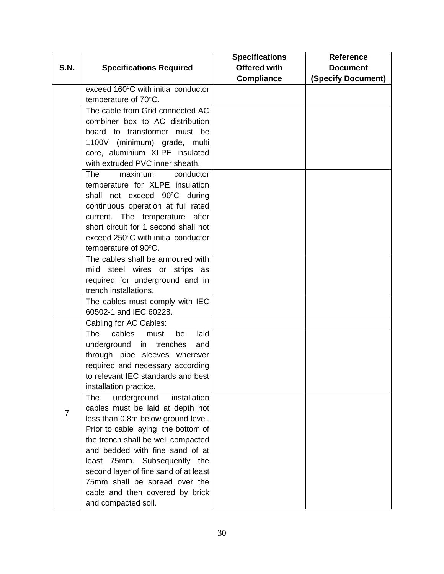|                |                                            | <b>Specifications</b> | <b>Reference</b>   |
|----------------|--------------------------------------------|-----------------------|--------------------|
| <b>S.N.</b>    | <b>Specifications Required</b>             | <b>Offered with</b>   | <b>Document</b>    |
|                |                                            | <b>Compliance</b>     | (Specify Document) |
|                | exceed 160°C with initial conductor        |                       |                    |
|                | temperature of 70°C.                       |                       |                    |
|                | The cable from Grid connected AC           |                       |                    |
|                | combiner box to AC distribution            |                       |                    |
|                | board to transformer must be               |                       |                    |
|                | 1100V (minimum) grade, multi               |                       |                    |
|                | core, aluminium XLPE insulated             |                       |                    |
|                | with extruded PVC inner sheath.            |                       |                    |
|                | <b>The</b><br>conductor<br>maximum         |                       |                    |
|                | temperature for XLPE insulation            |                       |                    |
|                | shall not exceed 90°C during               |                       |                    |
|                | continuous operation at full rated         |                       |                    |
|                | current. The temperature after             |                       |                    |
|                | short circuit for 1 second shall not       |                       |                    |
|                | exceed 250°C with initial conductor        |                       |                    |
|                | temperature of 90°C.                       |                       |                    |
|                | The cables shall be armoured with          |                       |                    |
|                | mild steel wires or strips as              |                       |                    |
|                | required for underground and in            |                       |                    |
|                | trench installations.                      |                       |                    |
|                | The cables must comply with IEC            |                       |                    |
|                | 60502-1 and IEC 60228.                     |                       |                    |
|                | Cabling for AC Cables:                     |                       |                    |
|                | cables<br><b>The</b><br>laid<br>must<br>be |                       |                    |
|                | underground in trenches<br>and             |                       |                    |
|                | through pipe sleeves wherever              |                       |                    |
|                | required and necessary according           |                       |                    |
|                | to relevant IEC standards and best         |                       |                    |
|                | installation practice.                     |                       |                    |
|                | installation<br><b>The</b><br>underground  |                       |                    |
| $\overline{7}$ | cables must be laid at depth not           |                       |                    |
|                | less than 0.8m below ground level.         |                       |                    |
|                | Prior to cable laying, the bottom of       |                       |                    |
|                | the trench shall be well compacted         |                       |                    |
|                | and bedded with fine sand of at            |                       |                    |
|                | least 75mm. Subsequently the               |                       |                    |
|                | second layer of fine sand of at least      |                       |                    |
|                | 75mm shall be spread over the              |                       |                    |
|                | cable and then covered by brick            |                       |                    |
|                | and compacted soil.                        |                       |                    |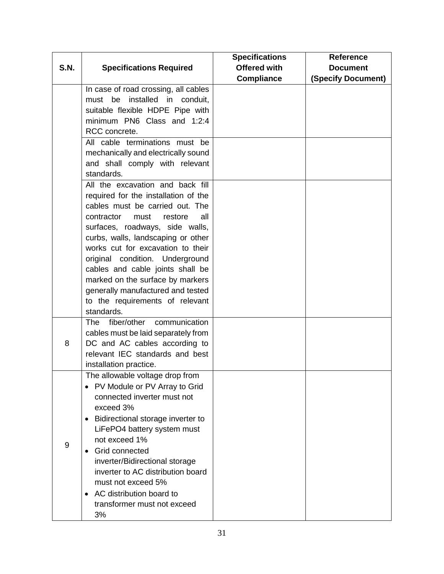|             |                                                | <b>Specifications</b> | Reference                 |
|-------------|------------------------------------------------|-----------------------|---------------------------|
| <b>S.N.</b> | <b>Specifications Required</b>                 | <b>Offered with</b>   | <b>Document</b>           |
|             |                                                | <b>Compliance</b>     | <b>(Specify Document)</b> |
|             | In case of road crossing, all cables           |                       |                           |
|             | must be installed in conduit,                  |                       |                           |
|             | suitable flexible HDPE Pipe with               |                       |                           |
|             | minimum PN6 Class and 1:2:4                    |                       |                           |
|             | RCC concrete.                                  |                       |                           |
|             | All cable terminations must be                 |                       |                           |
|             | mechanically and electrically sound            |                       |                           |
|             | and shall comply with relevant                 |                       |                           |
|             | standards.                                     |                       |                           |
|             | All the excavation and back fill               |                       |                           |
|             | required for the installation of the           |                       |                           |
|             | cables must be carried out. The                |                       |                           |
|             | contractor<br>all<br>must<br>restore           |                       |                           |
|             | surfaces, roadways, side walls,                |                       |                           |
|             | curbs, walls, landscaping or other             |                       |                           |
|             | works cut for excavation to their              |                       |                           |
|             | original condition. Underground                |                       |                           |
|             | cables and cable joints shall be               |                       |                           |
|             | marked on the surface by markers               |                       |                           |
|             | generally manufactured and tested              |                       |                           |
|             | to the requirements of relevant                |                       |                           |
|             | standards.                                     |                       |                           |
|             | communication<br>The<br>fiber/other            |                       |                           |
|             | cables must be laid separately from            |                       |                           |
| 8           | DC and AC cables according to                  |                       |                           |
|             | relevant IEC standards and best                |                       |                           |
|             | installation practice.                         |                       |                           |
|             | The allowable voltage drop from                |                       |                           |
|             | • PV Module or PV Array to Grid                |                       |                           |
|             | connected inverter must not                    |                       |                           |
|             | exceed 3%                                      |                       |                           |
|             | Bidirectional storage inverter to<br>$\bullet$ |                       |                           |
|             | LiFePO4 battery system must                    |                       |                           |
|             | not exceed 1%                                  |                       |                           |
| 9           | Grid connected<br>$\bullet$                    |                       |                           |
|             | inverter/Bidirectional storage                 |                       |                           |
|             | inverter to AC distribution board              |                       |                           |
|             | must not exceed 5%                             |                       |                           |
|             | AC distribution board to<br>$\bullet$          |                       |                           |
|             | transformer must not exceed                    |                       |                           |
|             | 3%                                             |                       |                           |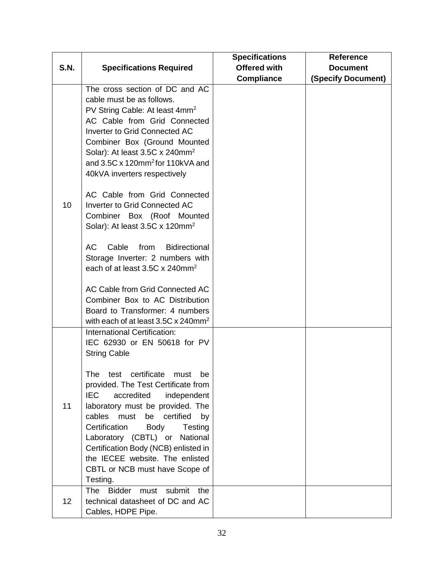|             |                                                                                                                                                                                                                                                                                                                                                                                                      | <b>Specifications</b> | <b>Reference</b>   |
|-------------|------------------------------------------------------------------------------------------------------------------------------------------------------------------------------------------------------------------------------------------------------------------------------------------------------------------------------------------------------------------------------------------------------|-----------------------|--------------------|
| <b>S.N.</b> | <b>Specifications Required</b>                                                                                                                                                                                                                                                                                                                                                                       | <b>Offered with</b>   | <b>Document</b>    |
|             |                                                                                                                                                                                                                                                                                                                                                                                                      | <b>Compliance</b>     | (Specify Document) |
|             | The cross section of DC and AC<br>cable must be as follows.<br>PV String Cable: At least 4mm <sup>2</sup><br>AC Cable from Grid Connected<br><b>Inverter to Grid Connected AC</b><br>Combiner Box (Ground Mounted<br>Solar): At least 3.5C x 240mm <sup>2</sup><br>and 3.5C x 120mm <sup>2</sup> for 110kVA and<br>40kVA inverters respectively                                                      |                       |                    |
| 10          | AC Cable from Grid Connected<br><b>Inverter to Grid Connected AC</b><br>Combiner Box (Roof Mounted<br>Solar): At least $3.5C \times 120$ mm <sup>2</sup>                                                                                                                                                                                                                                             |                       |                    |
|             | AC<br>Cable<br>from<br><b>Bidirectional</b><br>Storage Inverter: 2 numbers with<br>each of at least 3.5C x 240mm <sup>2</sup>                                                                                                                                                                                                                                                                        |                       |                    |
|             | AC Cable from Grid Connected AC<br>Combiner Box to AC Distribution<br>Board to Transformer: 4 numbers<br>with each of at least $3.5C \times 240$ mm <sup>2</sup>                                                                                                                                                                                                                                     |                       |                    |
|             | International Certification:<br>IEC 62930 or EN 50618 for PV<br><b>String Cable</b>                                                                                                                                                                                                                                                                                                                  |                       |                    |
| 11          | The<br>test certificate<br>must<br>be<br>provided. The Test Certificate from<br><b>IEC</b><br>accredited<br>independent<br>laboratory must be provided. The<br>cables must<br>be<br>certified<br>by<br>Certification<br>Body<br>Testing<br>Laboratory (CBTL) or<br>National<br>Certification Body (NCB) enlisted in<br>the IECEE website. The enlisted<br>CBTL or NCB must have Scope of<br>Testing. |                       |                    |
| 12          | <b>The</b><br>submit<br>the<br><b>Bidder</b><br>must<br>technical datasheet of DC and AC<br>Cables, HDPE Pipe.                                                                                                                                                                                                                                                                                       |                       |                    |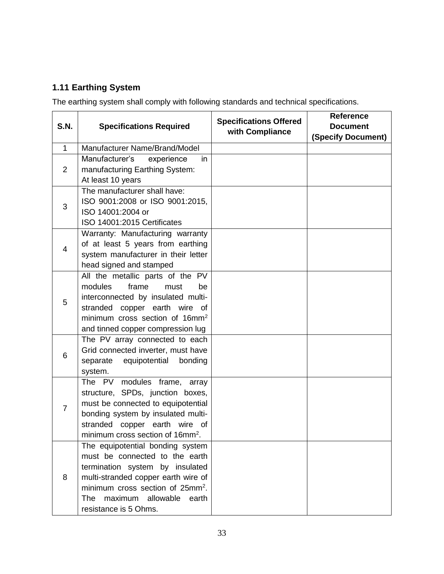# <span id="page-33-0"></span>**1.11 Earthing System**

The earthing system shall comply with following standards and technical specifications.

| <b>S.N.</b>    | <b>Specifications Required</b>                                      | <b>Specifications Offered</b><br>with Compliance | <b>Reference</b><br><b>Document</b><br>(Specify Document) |
|----------------|---------------------------------------------------------------------|--------------------------------------------------|-----------------------------------------------------------|
| $\mathbf{1}$   | Manufacturer Name/Brand/Model                                       |                                                  |                                                           |
|                | Manufacturer's<br>experience<br>in                                  |                                                  |                                                           |
| $\overline{2}$ | manufacturing Earthing System:                                      |                                                  |                                                           |
|                | At least 10 years                                                   |                                                  |                                                           |
|                | The manufacturer shall have:                                        |                                                  |                                                           |
| 3              | ISO 9001:2008 or ISO 9001:2015,                                     |                                                  |                                                           |
|                | ISO 14001:2004 or                                                   |                                                  |                                                           |
|                | ISO 14001:2015 Certificates                                         |                                                  |                                                           |
|                | Warranty: Manufacturing warranty                                    |                                                  |                                                           |
| 4              | of at least 5 years from earthing                                   |                                                  |                                                           |
|                | system manufacturer in their letter                                 |                                                  |                                                           |
|                | head signed and stamped                                             |                                                  |                                                           |
|                | All the metallic parts of the PV                                    |                                                  |                                                           |
|                | modules<br>frame<br>must<br>be                                      |                                                  |                                                           |
| 5              | interconnected by insulated multi-                                  |                                                  |                                                           |
|                | stranded copper earth wire of                                       |                                                  |                                                           |
|                | minimum cross section of 16mm <sup>2</sup>                          |                                                  |                                                           |
|                | and tinned copper compression lug<br>The PV array connected to each |                                                  |                                                           |
|                | Grid connected inverter, must have                                  |                                                  |                                                           |
| 6              | equipotential<br>separate<br>bonding                                |                                                  |                                                           |
|                | system.                                                             |                                                  |                                                           |
|                | The PV modules frame, array                                         |                                                  |                                                           |
|                | structure, SPDs, junction boxes,                                    |                                                  |                                                           |
|                | must be connected to equipotential                                  |                                                  |                                                           |
| $\overline{7}$ | bonding system by insulated multi-                                  |                                                  |                                                           |
|                | stranded copper earth wire of                                       |                                                  |                                                           |
|                | minimum cross section of 16mm <sup>2</sup> .                        |                                                  |                                                           |
|                | The equipotential bonding system                                    |                                                  |                                                           |
|                | must be connected to the earth                                      |                                                  |                                                           |
|                | termination system by insulated                                     |                                                  |                                                           |
| 8              | multi-stranded copper earth wire of                                 |                                                  |                                                           |
|                | minimum cross section of 25mm <sup>2</sup> .                        |                                                  |                                                           |
|                | maximum allowable<br>The<br>earth                                   |                                                  |                                                           |
|                | resistance is 5 Ohms.                                               |                                                  |                                                           |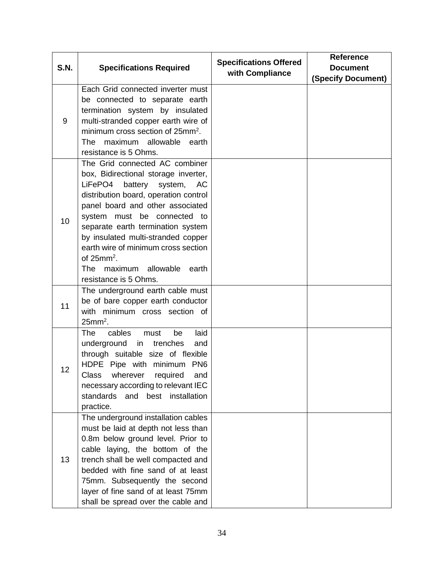| <b>S.N.</b> | <b>Specifications Required</b>                                                      | <b>Specifications Offered</b> | <b>Reference</b>   |
|-------------|-------------------------------------------------------------------------------------|-------------------------------|--------------------|
|             |                                                                                     | with Compliance               | <b>Document</b>    |
|             | Each Grid connected inverter must                                                   |                               | (Specify Document) |
|             | be connected to separate earth                                                      |                               |                    |
|             |                                                                                     |                               |                    |
|             | termination system by insulated                                                     |                               |                    |
| 9           | multi-stranded copper earth wire of<br>minimum cross section of 25mm <sup>2</sup> . |                               |                    |
|             | maximum allowable earth<br>The                                                      |                               |                    |
|             | resistance is 5 Ohms.                                                               |                               |                    |
|             | The Grid connected AC combiner                                                      |                               |                    |
|             | box, Bidirectional storage inverter,                                                |                               |                    |
|             | LiFePO4<br>battery<br>system,<br>AC                                                 |                               |                    |
|             | distribution board, operation control                                               |                               |                    |
|             | panel board and other associated                                                    |                               |                    |
|             | system must be connected to                                                         |                               |                    |
| 10          | separate earth termination system                                                   |                               |                    |
|             | by insulated multi-stranded copper                                                  |                               |                    |
|             | earth wire of minimum cross section                                                 |                               |                    |
|             | of $25mm^2$ .                                                                       |                               |                    |
|             | <b>The</b><br>maximum allowable<br>earth                                            |                               |                    |
|             | resistance is 5 Ohms.                                                               |                               |                    |
|             | The underground earth cable must                                                    |                               |                    |
|             | be of bare copper earth conductor                                                   |                               |                    |
| 11          | with minimum cross section of                                                       |                               |                    |
|             | $25$ mm <sup>2</sup> .                                                              |                               |                    |
|             | cables<br>laid<br><b>The</b><br>be<br>must                                          |                               |                    |
|             | underground<br>in<br>trenches<br>and                                                |                               |                    |
|             | through suitable size of flexible                                                   |                               |                    |
| 12          | HDPE Pipe with minimum PN6                                                          |                               |                    |
|             | Class<br>wherever required<br>and                                                   |                               |                    |
|             | necessary according to relevant IEC                                                 |                               |                    |
|             | standards and<br>best installation                                                  |                               |                    |
|             | practice.                                                                           |                               |                    |
|             | The underground installation cables                                                 |                               |                    |
|             | must be laid at depth not less than                                                 |                               |                    |
|             | 0.8m below ground level. Prior to                                                   |                               |                    |
|             | cable laying, the bottom of the                                                     |                               |                    |
| 13          | trench shall be well compacted and                                                  |                               |                    |
|             | bedded with fine sand of at least                                                   |                               |                    |
|             | 75mm. Subsequently the second                                                       |                               |                    |
|             | layer of fine sand of at least 75mm                                                 |                               |                    |
|             | shall be spread over the cable and                                                  |                               |                    |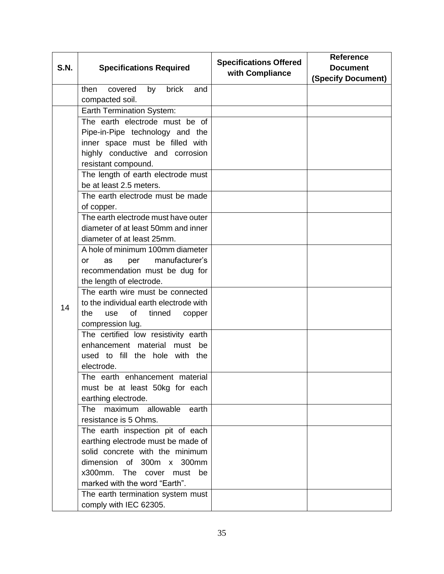|             | <b>Specifications Required</b>           | <b>Specifications Offered</b><br>with Compliance | <b>Reference</b>          |
|-------------|------------------------------------------|--------------------------------------------------|---------------------------|
| <b>S.N.</b> |                                          |                                                  | <b>Document</b>           |
|             |                                          |                                                  | <b>(Specify Document)</b> |
|             | brick<br>then<br>covered<br>by<br>and    |                                                  |                           |
|             | compacted soil.                          |                                                  |                           |
|             | <b>Earth Termination System:</b>         |                                                  |                           |
|             | The earth electrode must be of           |                                                  |                           |
|             | Pipe-in-Pipe technology and the          |                                                  |                           |
|             | inner space must be filled with          |                                                  |                           |
|             | highly conductive and corrosion          |                                                  |                           |
|             | resistant compound.                      |                                                  |                           |
|             | The length of earth electrode must       |                                                  |                           |
|             | be at least 2.5 meters.                  |                                                  |                           |
|             | The earth electrode must be made         |                                                  |                           |
|             | of copper.                               |                                                  |                           |
|             | The earth electrode must have outer      |                                                  |                           |
|             | diameter of at least 50mm and inner      |                                                  |                           |
|             | diameter of at least 25mm.               |                                                  |                           |
|             | A hole of minimum 100mm diameter         |                                                  |                           |
|             | manufacturer's<br><b>or</b><br>as<br>per |                                                  |                           |
|             | recommendation must be dug for           |                                                  |                           |
|             | the length of electrode.                 |                                                  |                           |
|             | The earth wire must be connected         |                                                  |                           |
| 14          | to the individual earth electrode with   |                                                  |                           |
|             | of<br>the<br>tinned<br>use<br>copper     |                                                  |                           |
|             | compression lug.                         |                                                  |                           |
|             | The certified low resistivity earth      |                                                  |                           |
|             | enhancement material must be             |                                                  |                           |
|             | used to fill the hole with the           |                                                  |                           |
|             | electrode.                               |                                                  |                           |
|             | The earth enhancement material           |                                                  |                           |
|             | must be at least 50kg for each           |                                                  |                           |
|             | earthing electrode.                      |                                                  |                           |
|             | maximum allowable<br>earth<br><b>The</b> |                                                  |                           |
|             | resistance is 5 Ohms.                    |                                                  |                           |
|             | The earth inspection pit of each         |                                                  |                           |
|             | earthing electrode must be made of       |                                                  |                           |
|             | solid concrete with the minimum          |                                                  |                           |
|             | dimension of 300m x 300mm                |                                                  |                           |
|             | x300mm. The cover must be                |                                                  |                           |
|             | marked with the word "Earth".            |                                                  |                           |
|             | The earth termination system must        |                                                  |                           |
|             | comply with IEC 62305.                   |                                                  |                           |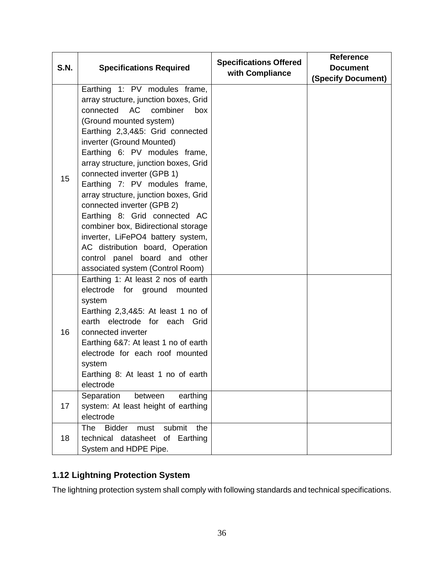| <b>S.N.</b> | <b>Specifications Required</b>                                                                                                                                                                                                                                                                                                                                                                                                                                                                                                                                                                                                                        | <b>Specifications Offered</b><br>with Compliance | <b>Reference</b><br><b>Document</b> |
|-------------|-------------------------------------------------------------------------------------------------------------------------------------------------------------------------------------------------------------------------------------------------------------------------------------------------------------------------------------------------------------------------------------------------------------------------------------------------------------------------------------------------------------------------------------------------------------------------------------------------------------------------------------------------------|--------------------------------------------------|-------------------------------------|
| 15          | Earthing 1: PV modules frame,<br>array structure, junction boxes, Grid<br><b>AC</b><br>connected<br>combiner<br>box<br>(Ground mounted system)<br>Earthing 2,3,4&5: Grid connected<br>inverter (Ground Mounted)<br>Earthing 6: PV modules frame,<br>array structure, junction boxes, Grid<br>connected inverter (GPB 1)<br>Earthing 7: PV modules frame,<br>array structure, junction boxes, Grid<br>connected inverter (GPB 2)<br>Earthing 8: Grid connected AC<br>combiner box, Bidirectional storage<br>inverter, LiFePO4 battery system,<br>AC distribution board, Operation<br>control panel board and other<br>associated system (Control Room) |                                                  | <b>(Specify Document)</b>           |
| 16          | Earthing 1: At least 2 nos of earth<br>electrode for ground mounted<br>system<br>Earthing $2,3,485$ : At least 1 no of<br>earth electrode for each<br>Grid<br>connected inverter<br>Earthing 6&7: At least 1 no of earth<br>electrode for each roof mounted<br>system<br>Earthing 8: At least 1 no of earth<br>electrode                                                                                                                                                                                                                                                                                                                              |                                                  |                                     |
| 17          | Separation<br>earthing<br>between<br>system: At least height of earthing<br>electrode                                                                                                                                                                                                                                                                                                                                                                                                                                                                                                                                                                 |                                                  |                                     |
| 18          | <b>Bidder</b><br>The<br>submit<br>must<br>the<br>technical datasheet of Earthing<br>System and HDPE Pipe.                                                                                                                                                                                                                                                                                                                                                                                                                                                                                                                                             |                                                  |                                     |

# <span id="page-36-0"></span>**1.12 Lightning Protection System**

The lightning protection system shall comply with following standards and technical specifications.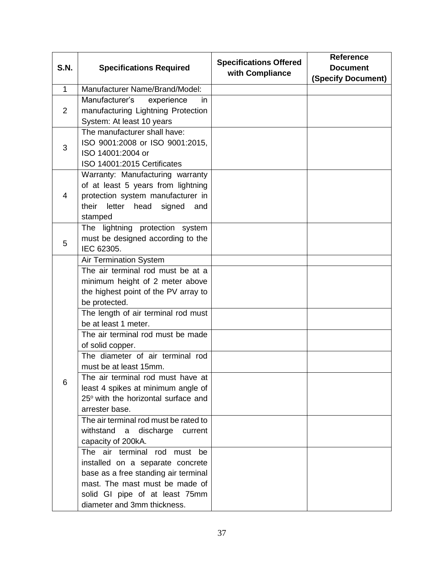| <b>S.N.</b>    | <b>Specifications Required</b>                                             | <b>Specifications Offered</b> | <b>Reference</b><br><b>Document</b> |
|----------------|----------------------------------------------------------------------------|-------------------------------|-------------------------------------|
|                |                                                                            | with Compliance               | (Specify Document)                  |
| $\mathbf{1}$   | Manufacturer Name/Brand/Model:                                             |                               |                                     |
|                | Manufacturer's<br>experience<br>in.                                        |                               |                                     |
| $\overline{2}$ | manufacturing Lightning Protection                                         |                               |                                     |
|                | System: At least 10 years                                                  |                               |                                     |
|                | The manufacturer shall have:                                               |                               |                                     |
| 3              | ISO 9001:2008 or ISO 9001:2015,                                            |                               |                                     |
|                | ISO 14001:2004 or                                                          |                               |                                     |
|                | ISO 14001:2015 Certificates                                                |                               |                                     |
|                | Warranty: Manufacturing warranty                                           |                               |                                     |
| 4              | of at least 5 years from lightning                                         |                               |                                     |
|                | protection system manufacturer in<br>their<br>letter head<br>signed<br>and |                               |                                     |
|                | stamped                                                                    |                               |                                     |
|                | The lightning protection system                                            |                               |                                     |
|                | must be designed according to the                                          |                               |                                     |
| 5              | IEC 62305.                                                                 |                               |                                     |
|                | <b>Air Termination System</b>                                              |                               |                                     |
|                | The air terminal rod must be at a                                          |                               |                                     |
|                | minimum height of 2 meter above                                            |                               |                                     |
|                | the highest point of the PV array to                                       |                               |                                     |
|                | be protected.                                                              |                               |                                     |
|                | The length of air terminal rod must                                        |                               |                                     |
|                | be at least 1 meter.                                                       |                               |                                     |
|                | The air terminal rod must be made                                          |                               |                                     |
|                | of solid copper.                                                           |                               |                                     |
|                | The diameter of air terminal rod                                           |                               |                                     |
|                | must be at least 15mm.                                                     |                               |                                     |
| 6              | The air terminal rod must have at<br>least 4 spikes at minimum angle of    |                               |                                     |
|                | 25° with the horizontal surface and                                        |                               |                                     |
|                | arrester base.                                                             |                               |                                     |
|                | The air terminal rod must be rated to                                      |                               |                                     |
|                | withstand<br>discharge<br>a<br>current                                     |                               |                                     |
|                | capacity of 200kA.                                                         |                               |                                     |
|                | The air terminal rod must be                                               |                               |                                     |
|                | installed on a separate concrete                                           |                               |                                     |
|                | base as a free standing air terminal                                       |                               |                                     |
|                | mast. The mast must be made of                                             |                               |                                     |
|                | solid GI pipe of at least 75mm                                             |                               |                                     |
|                | diameter and 3mm thickness.                                                |                               |                                     |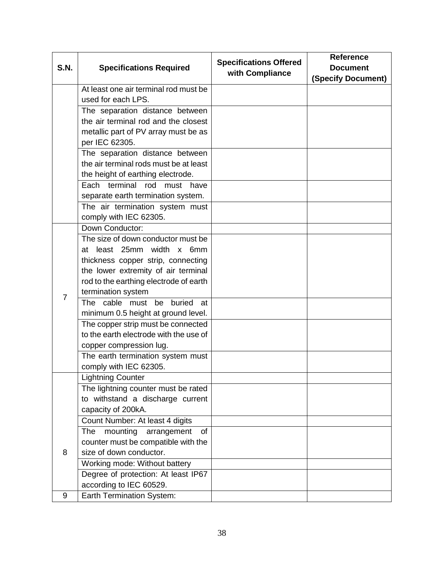| <b>S.N.</b>    | <b>Specifications Required</b>         | <b>Specifications Offered</b> | <b>Reference</b><br><b>Document</b> |
|----------------|----------------------------------------|-------------------------------|-------------------------------------|
|                |                                        | with Compliance               | (Specify Document)                  |
|                | At least one air terminal rod must be  |                               |                                     |
|                | used for each LPS.                     |                               |                                     |
|                | The separation distance between        |                               |                                     |
|                | the air terminal rod and the closest   |                               |                                     |
|                | metallic part of PV array must be as   |                               |                                     |
|                | per IEC 62305.                         |                               |                                     |
|                | The separation distance between        |                               |                                     |
|                | the air terminal rods must be at least |                               |                                     |
|                | the height of earthing electrode.      |                               |                                     |
|                | Each terminal rod must have            |                               |                                     |
|                | separate earth termination system.     |                               |                                     |
|                | The air termination system must        |                               |                                     |
|                | comply with IEC 62305.                 |                               |                                     |
|                | Down Conductor:                        |                               |                                     |
|                | The size of down conductor must be     |                               |                                     |
|                | at least 25mm width x 6mm              |                               |                                     |
|                | thickness copper strip, connecting     |                               |                                     |
|                | the lower extremity of air terminal    |                               |                                     |
|                | rod to the earthing electrode of earth |                               |                                     |
| $\overline{7}$ | termination system                     |                               |                                     |
|                | The cable must be<br>buried<br>at      |                               |                                     |
|                | minimum 0.5 height at ground level.    |                               |                                     |
|                | The copper strip must be connected     |                               |                                     |
|                | to the earth electrode with the use of |                               |                                     |
|                | copper compression lug.                |                               |                                     |
|                | The earth termination system must      |                               |                                     |
|                | comply with IEC 62305.                 |                               |                                     |
|                | <b>Lightning Counter</b>               |                               |                                     |
|                | The lightning counter must be rated    |                               |                                     |
|                | to withstand a discharge current       |                               |                                     |
|                | capacity of 200kA.                     |                               |                                     |
|                | Count Number: At least 4 digits        |                               |                                     |
|                | mounting<br>The<br>arrangement<br>of   |                               |                                     |
|                | counter must be compatible with the    |                               |                                     |
| 8              | size of down conductor.                |                               |                                     |
|                | Working mode: Without battery          |                               |                                     |
|                | Degree of protection: At least IP67    |                               |                                     |
|                | according to IEC 60529.                |                               |                                     |
| 9              | Earth Termination System:              |                               |                                     |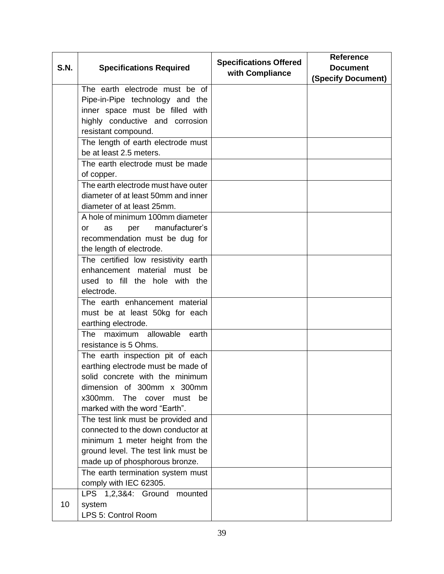| <b>S.N.</b> | <b>Specifications Required</b>      | <b>Specifications Offered</b><br>with Compliance | <b>Reference</b><br><b>Document</b> |
|-------------|-------------------------------------|--------------------------------------------------|-------------------------------------|
|             |                                     |                                                  | <b>(Specify Document)</b>           |
|             | The earth electrode must be of      |                                                  |                                     |
|             | Pipe-in-Pipe technology and the     |                                                  |                                     |
|             | inner space must be filled with     |                                                  |                                     |
|             | highly conductive and corrosion     |                                                  |                                     |
|             | resistant compound.                 |                                                  |                                     |
|             | The length of earth electrode must  |                                                  |                                     |
|             | be at least 2.5 meters.             |                                                  |                                     |
|             | The earth electrode must be made    |                                                  |                                     |
|             | of copper.                          |                                                  |                                     |
|             | The earth electrode must have outer |                                                  |                                     |
|             | diameter of at least 50mm and inner |                                                  |                                     |
|             | diameter of at least 25mm.          |                                                  |                                     |
|             | A hole of minimum 100mm diameter    |                                                  |                                     |
|             | manufacturer's<br>as<br>per<br>or   |                                                  |                                     |
|             | recommendation must be dug for      |                                                  |                                     |
|             | the length of electrode.            |                                                  |                                     |
|             | The certified low resistivity earth |                                                  |                                     |
|             | enhancement material must be        |                                                  |                                     |
|             | used to fill the hole with the      |                                                  |                                     |
|             | electrode.                          |                                                  |                                     |
|             | The earth enhancement material      |                                                  |                                     |
|             | must be at least 50kg for each      |                                                  |                                     |
|             | earthing electrode.                 |                                                  |                                     |
|             | maximum allowable<br>The<br>earth   |                                                  |                                     |
|             | resistance is 5 Ohms.               |                                                  |                                     |
|             | The earth inspection pit of each    |                                                  |                                     |
|             | earthing electrode must be made of  |                                                  |                                     |
|             | solid concrete with the minimum     |                                                  |                                     |
|             | dimension of 300mm x 300mm          |                                                  |                                     |
|             | x300mm.<br>The cover<br>must<br>be  |                                                  |                                     |
|             | marked with the word "Earth".       |                                                  |                                     |
|             | The test link must be provided and  |                                                  |                                     |
|             | connected to the down conductor at  |                                                  |                                     |
|             | minimum 1 meter height from the     |                                                  |                                     |
|             | ground level. The test link must be |                                                  |                                     |
|             | made up of phosphorous bronze.      |                                                  |                                     |
|             | The earth termination system must   |                                                  |                                     |
|             | comply with IEC 62305.              |                                                  |                                     |
|             | LPS 1,2,3&4: Ground mounted         |                                                  |                                     |
| 10          | system                              |                                                  |                                     |
|             | LPS 5: Control Room                 |                                                  |                                     |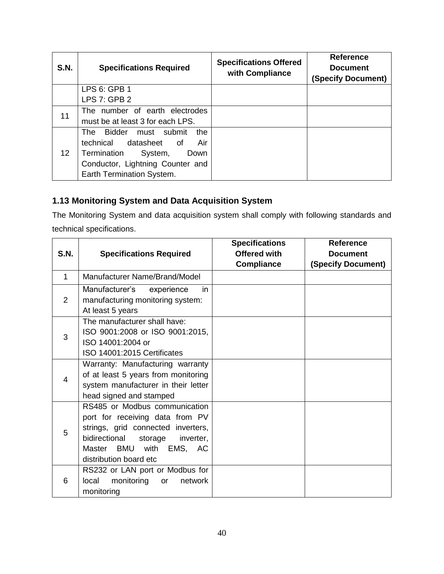| <b>S.N.</b>     | <b>Specifications Required</b>               | <b>Specifications Offered</b><br>with Compliance | <b>Reference</b><br><b>Document</b><br>(Specify Document) |
|-----------------|----------------------------------------------|--------------------------------------------------|-----------------------------------------------------------|
|                 | LPS 6: GPB 1                                 |                                                  |                                                           |
|                 | <b>LPS 7: GPB 2</b>                          |                                                  |                                                           |
| 11              | The number of earth electrodes               |                                                  |                                                           |
|                 | must be at least 3 for each LPS.             |                                                  |                                                           |
|                 | <b>Bidder</b><br>must submit<br>the<br>The l |                                                  |                                                           |
|                 | technical datasheet of<br>Air                |                                                  |                                                           |
| 12 <sup>°</sup> | Termination<br>System,<br>Down               |                                                  |                                                           |
|                 | Conductor, Lightning Counter and             |                                                  |                                                           |
|                 | Earth Termination System.                    |                                                  |                                                           |

# <span id="page-40-0"></span>**1.13 Monitoring System and Data Acquisition System**

The Monitoring System and data acquisition system shall comply with following standards and technical specifications.

| <b>S.N.</b>    | <b>Specifications Required</b>                                                                                                                                                                       | <b>Specifications</b><br><b>Offered with</b><br><b>Compliance</b> | <b>Reference</b><br><b>Document</b><br>(Specify Document) |
|----------------|------------------------------------------------------------------------------------------------------------------------------------------------------------------------------------------------------|-------------------------------------------------------------------|-----------------------------------------------------------|
| 1              | Manufacturer Name/Brand/Model                                                                                                                                                                        |                                                                   |                                                           |
| 2              | Manufacturer's experience<br>in.<br>manufacturing monitoring system:<br>At least 5 years                                                                                                             |                                                                   |                                                           |
| 3              | The manufacturer shall have:<br>ISO 9001:2008 or ISO 9001:2015,<br>ISO 14001:2004 or<br>ISO 14001:2015 Certificates                                                                                  |                                                                   |                                                           |
| $\overline{4}$ | Warranty: Manufacturing warranty<br>of at least 5 years from monitoring<br>system manufacturer in their letter<br>head signed and stamped                                                            |                                                                   |                                                           |
| 5              | RS485 or Modbus communication<br>port for receiving data from PV<br>strings, grid connected inverters,<br>bidirectional<br>storage<br>inverter,<br>Master BMU with EMS, AC<br>distribution board etc |                                                                   |                                                           |
| 6              | RS232 or LAN port or Modbus for<br>monitoring<br>network<br>local<br>or<br>monitoring                                                                                                                |                                                                   |                                                           |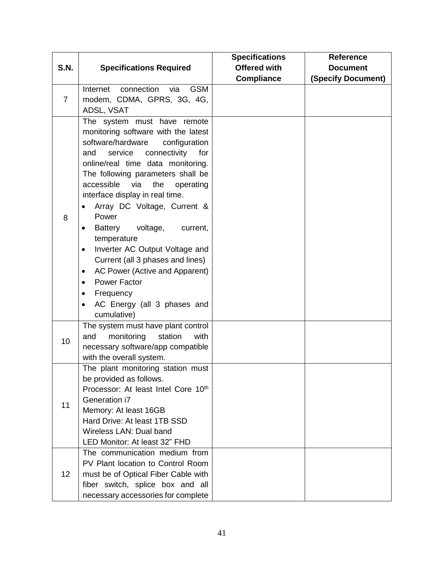|                |                                                                                                                                                                                                                                                                                                                                                                                                                                                                                                                                                                                                                                                     | <b>Specifications</b> | <b>Reference</b>          |
|----------------|-----------------------------------------------------------------------------------------------------------------------------------------------------------------------------------------------------------------------------------------------------------------------------------------------------------------------------------------------------------------------------------------------------------------------------------------------------------------------------------------------------------------------------------------------------------------------------------------------------------------------------------------------------|-----------------------|---------------------------|
| <b>S.N.</b>    | <b>Specifications Required</b>                                                                                                                                                                                                                                                                                                                                                                                                                                                                                                                                                                                                                      | <b>Offered with</b>   | <b>Document</b>           |
|                |                                                                                                                                                                                                                                                                                                                                                                                                                                                                                                                                                                                                                                                     | <b>Compliance</b>     | <b>(Specify Document)</b> |
|                | Internet connection via<br><b>GSM</b>                                                                                                                                                                                                                                                                                                                                                                                                                                                                                                                                                                                                               |                       |                           |
| $\overline{7}$ | modem, CDMA, GPRS, 3G, 4G,                                                                                                                                                                                                                                                                                                                                                                                                                                                                                                                                                                                                                          |                       |                           |
|                | ADSL, VSAT                                                                                                                                                                                                                                                                                                                                                                                                                                                                                                                                                                                                                                          |                       |                           |
| 8              | The system must have remote<br>monitoring software with the latest<br>software/hardware<br>configuration<br>connectivity<br>service<br>for<br>and<br>online/real time data monitoring.<br>The following parameters shall be<br>accessible<br>the<br>via<br>operating<br>interface display in real time.<br>Array DC Voltage, Current &<br>Power<br><b>Battery</b><br>voltage,<br>current,<br>$\bullet$<br>temperature<br>Inverter AC Output Voltage and<br>$\bullet$<br>Current (all 3 phases and lines)<br>AC Power (Active and Apparent)<br>$\bullet$<br><b>Power Factor</b><br>٠<br>Frequency<br>٠<br>AC Energy (all 3 phases and<br>cumulative) |                       |                           |
| 10             | The system must have plant control<br>monitoring<br>station<br>and<br>with<br>necessary software/app compatible<br>with the overall system.                                                                                                                                                                                                                                                                                                                                                                                                                                                                                                         |                       |                           |
| 11             | The plant monitoring station must<br>be provided as follows.<br>Processor: At least Intel Core 10th<br>Generation i7<br>Memory: At least 16GB<br>Hard Drive: At least 1TB SSD<br>Wireless LAN: Dual band<br>LED Monitor: At least 32" FHD                                                                                                                                                                                                                                                                                                                                                                                                           |                       |                           |
| 12             | The communication medium from<br>PV Plant location to Control Room<br>must be of Optical Fiber Cable with<br>fiber switch, splice box and all<br>necessary accessories for complete                                                                                                                                                                                                                                                                                                                                                                                                                                                                 |                       |                           |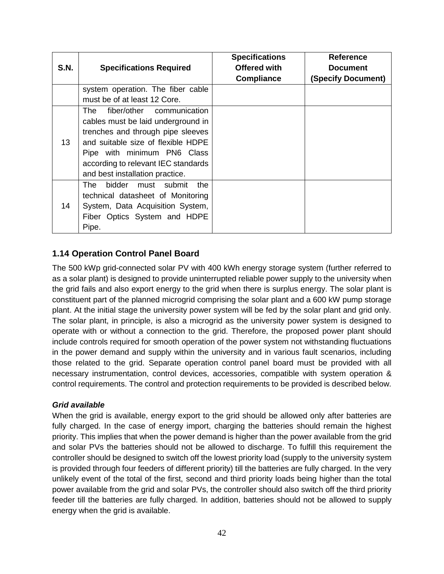| <b>S.N.</b> | <b>Specifications Required</b>                                                                                                                                                                                                                             | <b>Specifications</b><br><b>Offered with</b><br><b>Compliance</b> | <b>Reference</b><br><b>Document</b><br>(Specify Document) |
|-------------|------------------------------------------------------------------------------------------------------------------------------------------------------------------------------------------------------------------------------------------------------------|-------------------------------------------------------------------|-----------------------------------------------------------|
|             | system operation. The fiber cable<br>must be of at least 12 Core.                                                                                                                                                                                          |                                                                   |                                                           |
| 13          | fiber/other communication<br>The<br>cables must be laid underground in<br>trenches and through pipe sleeves<br>and suitable size of flexible HDPE<br>Pipe with minimum PN6 Class<br>according to relevant IEC standards<br>and best installation practice. |                                                                   |                                                           |
| 14          | The l<br>bidder.<br>must submit<br>the.<br>technical datasheet of Monitoring<br>System, Data Acquisition System,<br>Fiber Optics System and HDPE<br>Pipe.                                                                                                  |                                                                   |                                                           |

### <span id="page-42-0"></span>**1.14 Operation Control Panel Board**

The 500 kWp grid-connected solar PV with 400 kWh energy storage system (further referred to as a solar plant) is designed to provide uninterrupted reliable power supply to the university when the grid fails and also export energy to the grid when there is surplus energy. The solar plant is constituent part of the planned microgrid comprising the solar plant and a 600 kW pump storage plant. At the initial stage the university power system will be fed by the solar plant and grid only. The solar plant, in principle, is also a microgrid as the university power system is designed to operate with or without a connection to the grid. Therefore, the proposed power plant should include controls required for smooth operation of the power system not withstanding fluctuations in the power demand and supply within the university and in various fault scenarios, including those related to the grid. Separate operation control panel board must be provided with all necessary instrumentation, control devices, accessories, compatible with system operation & control requirements. The control and protection requirements to be provided is described below.

#### *Grid available*

When the grid is available, energy export to the grid should be allowed only after batteries are fully charged. In the case of energy import, charging the batteries should remain the highest priority. This implies that when the power demand is higher than the power available from the grid and solar PVs the batteries should not be allowed to discharge. To fulfill this requirement the controller should be designed to switch off the lowest priority load (supply to the university system is provided through four feeders of different priority) till the batteries are fully charged. In the very unlikely event of the total of the first, second and third priority loads being higher than the total power available from the grid and solar PVs, the controller should also switch off the third priority feeder till the batteries are fully charged. In addition, batteries should not be allowed to supply energy when the grid is available.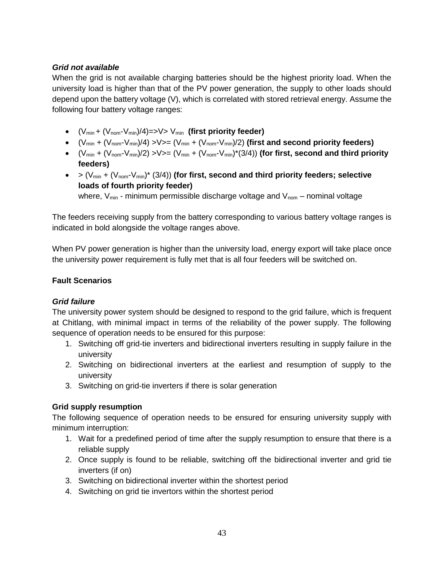### *Grid not available*

When the grid is not available charging batteries should be the highest priority load. When the university load is higher than that of the PV power generation, the supply to other loads should depend upon the battery voltage (V), which is correlated with stored retrieval energy. Assume the following four battery voltage ranges:

- $(V_{min} + (V_{nom} V_{min})/4) = >> V > V_{min}$  (first priority feeder)
- $(V_{min} + (V_{nom} V_{min})/4)$  >  $V$  >  $= (V_{min} + (V_{nom} V_{min})/2)$  (first and second priority feeders)
- $(V_{min} + (V_{nom} V_{min})/2)$  >  $V$  >  $= (V_{min} + (V_{nom} V_{min})*(3/4))$  (for first, second and third priority **feeders)**
- $>(V_{min} + (V_{nom} V_{min})^* (3/4))$  (for first, second and third priority feeders; selective **loads of fourth priority feeder)**

where,  $V_{min}$  - minimum permissible discharge voltage and  $V_{nom}$  – nominal voltage

The feeders receiving supply from the battery corresponding to various battery voltage ranges is indicated in bold alongside the voltage ranges above.

When PV power generation is higher than the university load, energy export will take place once the university power requirement is fully met that is all four feeders will be switched on.

### **Fault Scenarios**

### *Grid failure*

The university power system should be designed to respond to the grid failure, which is frequent at Chitlang, with minimal impact in terms of the reliability of the power supply. The following sequence of operation needs to be ensured for this purpose:

- 1. Switching off grid-tie inverters and bidirectional inverters resulting in supply failure in the university
- 2. Switching on bidirectional inverters at the earliest and resumption of supply to the university
- 3. Switching on grid-tie inverters if there is solar generation

### **Grid supply resumption**

The following sequence of operation needs to be ensured for ensuring university supply with minimum interruption:

- 1. Wait for a predefined period of time after the supply resumption to ensure that there is a reliable supply
- 2. Once supply is found to be reliable, switching off the bidirectional inverter and grid tie inverters (if on)
- 3. Switching on bidirectional inverter within the shortest period
- 4. Switching on grid tie invertors within the shortest period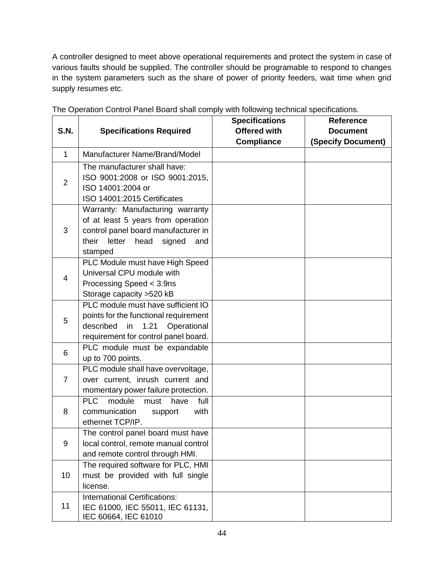A controller designed to meet above operational requirements and protect the system in case of various faults should be supplied. The controller should be programable to respond to changes in the system parameters such as the share of power of priority feeders, wait time when grid supply resumes etc.

|                 |                                                                                                                                                                   | <b>Specifications</b> | <b>Reference</b>          |
|-----------------|-------------------------------------------------------------------------------------------------------------------------------------------------------------------|-----------------------|---------------------------|
| <b>S.N.</b>     | <b>Specifications Required</b>                                                                                                                                    | <b>Offered with</b>   | <b>Document</b>           |
|                 |                                                                                                                                                                   | <b>Compliance</b>     | <b>(Specify Document)</b> |
| $\mathbf{1}$    | Manufacturer Name/Brand/Model                                                                                                                                     |                       |                           |
| $\overline{2}$  | The manufacturer shall have:<br>ISO 9001:2008 or ISO 9001:2015,<br>ISO 14001:2004 or<br>ISO 14001:2015 Certificates                                               |                       |                           |
| 3               | Warranty: Manufacturing warranty<br>of at least 5 years from operation<br>control panel board manufacturer in<br>their letter<br>head<br>signed<br>and<br>stamped |                       |                           |
| $\overline{4}$  | PLC Module must have High Speed<br>Universal CPU module with<br>Processing Speed < 3.9ns<br>Storage capacity > 520 kB                                             |                       |                           |
| 5               | PLC module must have sufficient IO<br>points for the functional requirement<br>described<br>1.21<br>Operational<br>in<br>requirement for control panel board.     |                       |                           |
| 6               | PLC module must be expandable<br>up to 700 points.                                                                                                                |                       |                           |
| $\overline{7}$  | PLC module shall have overvoltage,<br>over current, inrush current and<br>momentary power failure protection.                                                     |                       |                           |
| 8               | <b>PLC</b><br>module<br>full<br>must<br>have<br>communication<br>with<br>support<br>ethernet TCP/IP.                                                              |                       |                           |
| 9               | The control panel board must have<br>local control, remote manual control<br>and remote control through HMI.                                                      |                       |                           |
| 10 <sup>°</sup> | The required software for PLC, HMI<br>must be provided with full single<br>license.                                                                               |                       |                           |
| 11              | <b>International Certifications:</b><br>IEC 61000, IEC 55011, IEC 61131,<br>IEC 60664, IEC 61010                                                                  |                       |                           |

The Operation Control Panel Board shall comply with following technical specifications.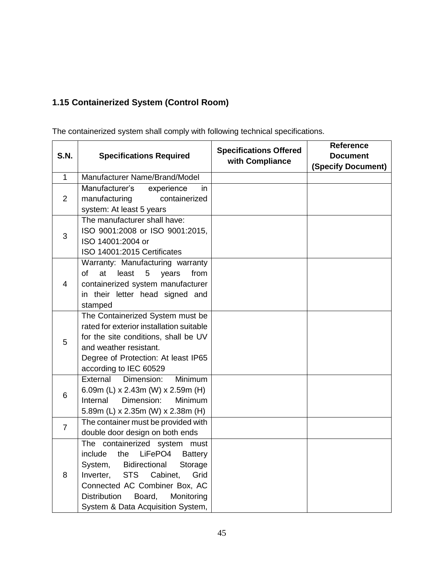# <span id="page-45-0"></span>**1.15 Containerized System (Control Room)**

The containerized system shall comply with following technical specifications.

| <b>S.N.</b>    | <b>Specifications Required</b>              | <b>Specifications Offered</b> | <b>Reference</b>          |
|----------------|---------------------------------------------|-------------------------------|---------------------------|
|                |                                             |                               | <b>Document</b>           |
|                |                                             | with Compliance               | <b>(Specify Document)</b> |
| $\mathbf{1}$   | Manufacturer Name/Brand/Model               |                               |                           |
|                | Manufacturer's<br>experience<br>in          |                               |                           |
| $\overline{2}$ | manufacturing<br>containerized              |                               |                           |
|                | system: At least 5 years                    |                               |                           |
|                | The manufacturer shall have:                |                               |                           |
| 3              | ISO 9001:2008 or ISO 9001:2015,             |                               |                           |
|                | ISO 14001:2004 or                           |                               |                           |
|                | ISO 14001:2015 Certificates                 |                               |                           |
|                | Warranty: Manufacturing warranty            |                               |                           |
|                | of<br>at<br>least<br>5<br>years<br>from     |                               |                           |
| 4              | containerized system manufacturer           |                               |                           |
|                | in their letter head signed and             |                               |                           |
|                | stamped                                     |                               |                           |
|                | The Containerized System must be            |                               |                           |
|                | rated for exterior installation suitable    |                               |                           |
| 5              | for the site conditions, shall be UV        |                               |                           |
|                | and weather resistant.                      |                               |                           |
|                | Degree of Protection: At least IP65         |                               |                           |
|                | according to IEC 60529                      |                               |                           |
|                | External<br>Dimension:<br><b>Minimum</b>    |                               |                           |
| 6              | 6.09m (L) x 2.43m (W) x 2.59m (H)           |                               |                           |
|                | Dimension:<br>Internal<br><b>Minimum</b>    |                               |                           |
|                | 5.89m (L) x 2.35m (W) x 2.38m (H)           |                               |                           |
| $\overline{7}$ | The container must be provided with         |                               |                           |
|                | double door design on both ends             |                               |                           |
|                | The containerized system must               |                               |                           |
| 8              | LiFePO4<br>include<br>the<br><b>Battery</b> |                               |                           |
|                | System,<br>Bidirectional<br>Storage         |                               |                           |
|                | <b>STS</b><br>Cabinet,<br>Inverter,<br>Grid |                               |                           |
|                | Connected AC Combiner Box, AC               |                               |                           |
|                | <b>Distribution</b><br>Board,<br>Monitoring |                               |                           |
|                | System & Data Acquisition System,           |                               |                           |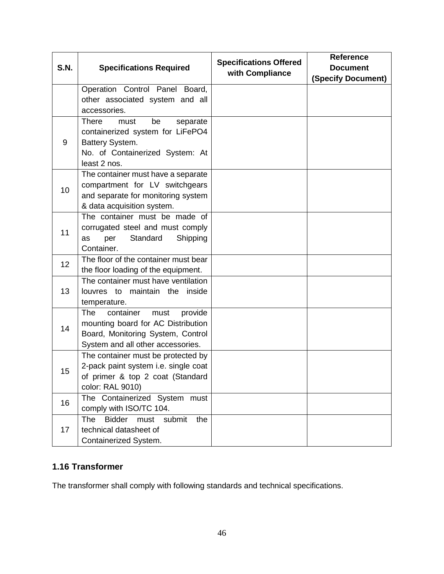| <b>S.N.</b>     | <b>Specifications Required</b>                                             | <b>Specifications Offered</b><br>with Compliance | <b>Reference</b><br><b>Document</b> |
|-----------------|----------------------------------------------------------------------------|--------------------------------------------------|-------------------------------------|
|                 |                                                                            |                                                  | <b>(Specify Document)</b>           |
|                 | Operation Control Panel Board,                                             |                                                  |                                     |
|                 | other associated system and all                                            |                                                  |                                     |
|                 | accessories.                                                               |                                                  |                                     |
|                 | <b>There</b><br>be<br>must<br>separate                                     |                                                  |                                     |
|                 | containerized system for LiFePO4                                           |                                                  |                                     |
| 9               | Battery System.                                                            |                                                  |                                     |
|                 | No. of Containerized System: At<br>least 2 nos.                            |                                                  |                                     |
|                 | The container must have a separate                                         |                                                  |                                     |
|                 | compartment for LV switchgears                                             |                                                  |                                     |
| 10              | and separate for monitoring system                                         |                                                  |                                     |
|                 | & data acquisition system.                                                 |                                                  |                                     |
|                 | The container must be made of                                              |                                                  |                                     |
| 11              | corrugated steel and must comply                                           |                                                  |                                     |
|                 | Standard<br>Shipping<br>per<br>as                                          |                                                  |                                     |
|                 | Container.                                                                 |                                                  |                                     |
| 12 <sub>2</sub> | The floor of the container must bear                                       |                                                  |                                     |
|                 | the floor loading of the equipment.                                        |                                                  |                                     |
|                 | The container must have ventilation                                        |                                                  |                                     |
| 13              | louvres to maintain the<br>inside                                          |                                                  |                                     |
|                 | temperature.                                                               |                                                  |                                     |
|                 | <b>The</b><br>container<br>provide<br>must                                 |                                                  |                                     |
| 14              | mounting board for AC Distribution                                         |                                                  |                                     |
|                 | Board, Monitoring System, Control                                          |                                                  |                                     |
|                 | System and all other accessories.                                          |                                                  |                                     |
|                 | The container must be protected by<br>2-pack paint system i.e. single coat |                                                  |                                     |
| 15              | of primer & top 2 coat (Standard                                           |                                                  |                                     |
|                 | color: RAL 9010)                                                           |                                                  |                                     |
|                 | The Containerized System must                                              |                                                  |                                     |
| 16              | comply with ISO/TC 104.                                                    |                                                  |                                     |
|                 | <b>The</b><br><b>Bidder</b><br>must<br>submit<br>the                       |                                                  |                                     |
| 17              | technical datasheet of                                                     |                                                  |                                     |
|                 | Containerized System.                                                      |                                                  |                                     |

# <span id="page-46-0"></span>**1.16 Transformer**

The transformer shall comply with following standards and technical specifications.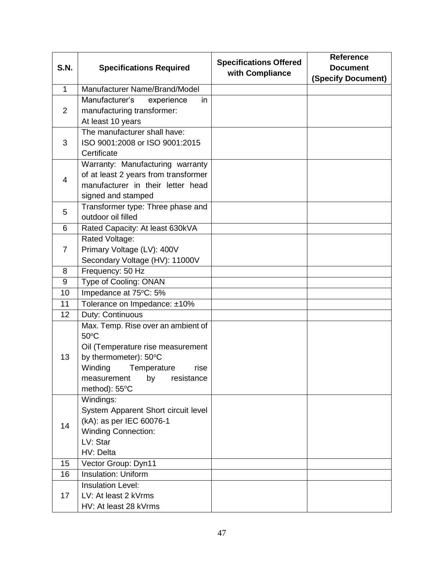| <b>S.N.</b>  | <b>Specifications Required</b>                     | <b>Specifications Offered</b><br>with Compliance | <b>Reference</b><br><b>Document</b><br>(Specify Document) |
|--------------|----------------------------------------------------|--------------------------------------------------|-----------------------------------------------------------|
| $\mathbf{1}$ | Manufacturer Name/Brand/Model                      |                                                  |                                                           |
|              | Manufacturer's<br>experience<br>in                 |                                                  |                                                           |
| 2            | manufacturing transformer:                         |                                                  |                                                           |
|              | At least 10 years                                  |                                                  |                                                           |
|              | The manufacturer shall have:                       |                                                  |                                                           |
| 3            | ISO 9001:2008 or ISO 9001:2015                     |                                                  |                                                           |
|              | Certificate                                        |                                                  |                                                           |
|              | Warranty: Manufacturing warranty                   |                                                  |                                                           |
| 4            | of at least 2 years from transformer               |                                                  |                                                           |
|              | manufacturer in their letter head                  |                                                  |                                                           |
|              | signed and stamped                                 |                                                  |                                                           |
| 5            | Transformer type: Three phase and                  |                                                  |                                                           |
|              | outdoor oil filled                                 |                                                  |                                                           |
| 6            | Rated Capacity: At least 630kVA                    |                                                  |                                                           |
|              | Rated Voltage:                                     |                                                  |                                                           |
| 7            | Primary Voltage (LV): 400V                         |                                                  |                                                           |
| 8            | Secondary Voltage (HV): 11000V<br>Frequency: 50 Hz |                                                  |                                                           |
| 9            | Type of Cooling: ONAN                              |                                                  |                                                           |
| 10           | Impedance at 75°C: 5%                              |                                                  |                                                           |
| 11           | Tolerance on Impedance: ±10%                       |                                                  |                                                           |
| 12           | Duty: Continuous                                   |                                                  |                                                           |
|              | Max. Temp. Rise over an ambient of                 |                                                  |                                                           |
|              | $50^{\circ}$ C                                     |                                                  |                                                           |
|              | Oil (Temperature rise measurement                  |                                                  |                                                           |
| 13           | by thermometer): 50°C                              |                                                  |                                                           |
|              | Winding<br>Temperature<br>rise                     |                                                  |                                                           |
|              | measurement by resistance                          |                                                  |                                                           |
|              | method): 55°C                                      |                                                  |                                                           |
|              | Windings:                                          |                                                  |                                                           |
|              | System Apparent Short circuit level                |                                                  |                                                           |
| 14           | (kA): as per IEC 60076-1                           |                                                  |                                                           |
|              | <b>Winding Connection:</b>                         |                                                  |                                                           |
|              | LV: Star                                           |                                                  |                                                           |
|              | HV: Delta                                          |                                                  |                                                           |
| 15           | Vector Group: Dyn11                                |                                                  |                                                           |
| 16           | <b>Insulation: Uniform</b>                         |                                                  |                                                           |
|              | <b>Insulation Level:</b>                           |                                                  |                                                           |
| 17           | LV: At least 2 kVrms                               |                                                  |                                                           |
|              | HV: At least 28 kVrms                              |                                                  |                                                           |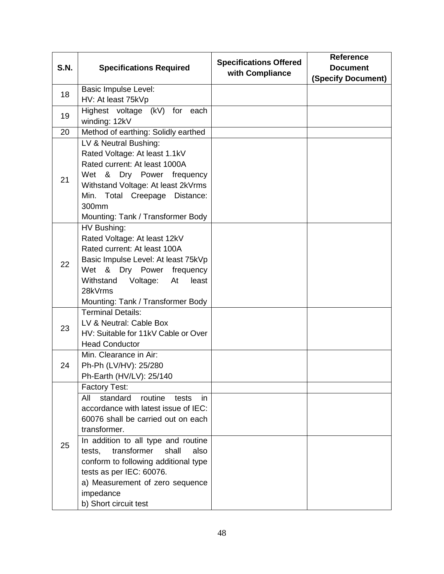| <b>S.N.</b> | <b>Specifications Required</b>                                                                                                                                                                                                                                                                                                                                                                | <b>Specifications Offered</b><br>with Compliance | <b>Reference</b><br><b>Document</b><br>(Specify Document) |
|-------------|-----------------------------------------------------------------------------------------------------------------------------------------------------------------------------------------------------------------------------------------------------------------------------------------------------------------------------------------------------------------------------------------------|--------------------------------------------------|-----------------------------------------------------------|
| 18          | <b>Basic Impulse Level:</b><br>HV: At least 75kVp                                                                                                                                                                                                                                                                                                                                             |                                                  |                                                           |
| 19          | Highest voltage (kV) for each<br>winding: 12kV                                                                                                                                                                                                                                                                                                                                                |                                                  |                                                           |
| 20          | Method of earthing: Solidly earthed                                                                                                                                                                                                                                                                                                                                                           |                                                  |                                                           |
| 21          | LV & Neutral Bushing:<br>Rated Voltage: At least 1.1kV<br>Rated current: At least 1000A<br>Wet & Dry Power frequency<br>Withstand Voltage: At least 2kVrms<br>Min. Total Creepage Distance:<br>300mm<br>Mounting: Tank / Transformer Body                                                                                                                                                     |                                                  |                                                           |
| 22          | HV Bushing:<br>Rated Voltage: At least 12kV<br>Rated current: At least 100A<br>Basic Impulse Level: At least 75kVp<br>Wet & Dry Power<br>frequency<br>Withstand<br>Voltage:<br>At<br>least<br>28kVrms<br>Mounting: Tank / Transformer Body                                                                                                                                                    |                                                  |                                                           |
| 23          | <b>Terminal Details:</b><br>LV & Neutral: Cable Box<br>HV: Suitable for 11kV Cable or Over<br><b>Head Conductor</b>                                                                                                                                                                                                                                                                           |                                                  |                                                           |
| 24          | Min. Clearance in Air:<br>Ph-Ph (LV/HV): 25/280<br>Ph-Earth (HV/LV): 25/140                                                                                                                                                                                                                                                                                                                   |                                                  |                                                           |
| 25          | <b>Factory Test:</b><br>standard<br>routine<br>All<br>tests<br>in<br>accordance with latest issue of IEC:<br>60076 shall be carried out on each<br>transformer.<br>In addition to all type and routine<br>transformer<br>shall<br>tests,<br>also<br>conform to following additional type<br>tests as per IEC: 60076.<br>a) Measurement of zero sequence<br>impedance<br>b) Short circuit test |                                                  |                                                           |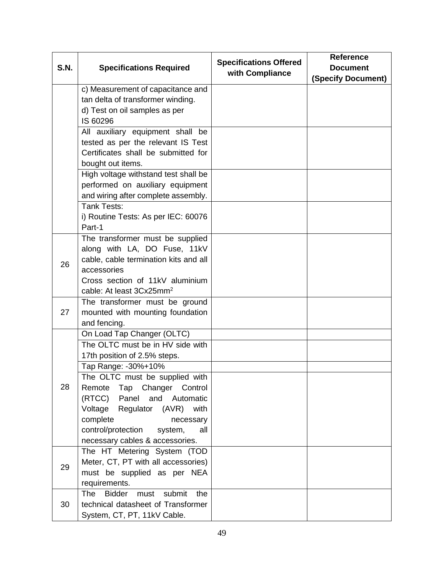| <b>S.N.</b> | <b>Specifications Required</b>                | <b>Specifications Offered</b> | <b>Reference</b><br><b>Document</b> |
|-------------|-----------------------------------------------|-------------------------------|-------------------------------------|
|             |                                               | with Compliance               | <b>(Specify Document)</b>           |
|             | c) Measurement of capacitance and             |                               |                                     |
|             | tan delta of transformer winding.             |                               |                                     |
|             | d) Test on oil samples as per                 |                               |                                     |
|             | IS 60296                                      |                               |                                     |
|             | All auxiliary equipment shall<br>be           |                               |                                     |
|             | tested as per the relevant IS Test            |                               |                                     |
|             | Certificates shall be submitted for           |                               |                                     |
|             | bought out items.                             |                               |                                     |
|             | High voltage withstand test shall be          |                               |                                     |
|             | performed on auxiliary equipment              |                               |                                     |
|             | and wiring after complete assembly.           |                               |                                     |
|             | Tank Tests:                                   |                               |                                     |
|             | i) Routine Tests: As per IEC: 60076           |                               |                                     |
|             | Part-1                                        |                               |                                     |
|             | The transformer must be supplied              |                               |                                     |
|             | along with LA, DO Fuse, 11kV                  |                               |                                     |
| 26          | cable, cable termination kits and all         |                               |                                     |
|             | accessories                                   |                               |                                     |
|             | Cross section of 11kV aluminium               |                               |                                     |
|             | cable: At least 3Cx25mm <sup>2</sup>          |                               |                                     |
|             | The transformer must be ground                |                               |                                     |
| 27          | mounted with mounting foundation              |                               |                                     |
|             | and fencing.                                  |                               |                                     |
|             | On Load Tap Changer (OLTC)                    |                               |                                     |
|             | The OLTC must be in HV side with              |                               |                                     |
|             | 17th position of 2.5% steps.                  |                               |                                     |
|             | Tap Range: -30%+10%                           |                               |                                     |
|             | The OLTC must be supplied with                |                               |                                     |
| 28          | Tap Changer<br>Control<br>Remote              |                               |                                     |
|             | (RTCC)<br>Panel<br>and Automatic              |                               |                                     |
|             | Voltage<br>Regulator (AVR) with               |                               |                                     |
|             | complete<br>necessary                         |                               |                                     |
|             | control/protection<br>all<br>system,          |                               |                                     |
|             | necessary cables & accessories.               |                               |                                     |
|             | The HT Metering System (TOD                   |                               |                                     |
| 29          | Meter, CT, PT with all accessories)           |                               |                                     |
|             | must be supplied as per NEA                   |                               |                                     |
|             | requirements.                                 |                               |                                     |
|             | <b>Bidder</b><br>submit<br>the<br>The<br>must |                               |                                     |
| 30          | technical datasheet of Transformer            |                               |                                     |
|             | System, CT, PT, 11kV Cable.                   |                               |                                     |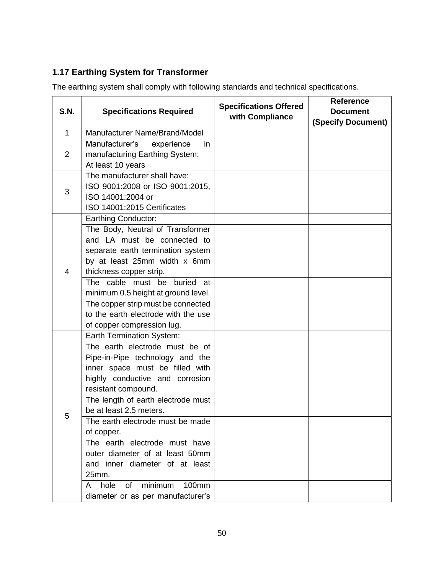# <span id="page-50-0"></span>**1.17 Earthing System for Transformer**

The earthing system shall comply with following standards and technical specifications.

| <b>S.N.</b>    | <b>Specifications Required</b>                                                                                                                                                                                                                                                                                                                                                                                                                                            | <b>Specifications Offered</b> | <b>Reference</b>          |
|----------------|---------------------------------------------------------------------------------------------------------------------------------------------------------------------------------------------------------------------------------------------------------------------------------------------------------------------------------------------------------------------------------------------------------------------------------------------------------------------------|-------------------------------|---------------------------|
|                |                                                                                                                                                                                                                                                                                                                                                                                                                                                                           | with Compliance               | <b>Document</b>           |
| $\mathbf{1}$   | Manufacturer Name/Brand/Model                                                                                                                                                                                                                                                                                                                                                                                                                                             |                               | <b>(Specify Document)</b> |
|                | Manufacturer's<br>experience<br>in.                                                                                                                                                                                                                                                                                                                                                                                                                                       |                               |                           |
| $\overline{2}$ | manufacturing Earthing System:                                                                                                                                                                                                                                                                                                                                                                                                                                            |                               |                           |
|                | At least 10 years                                                                                                                                                                                                                                                                                                                                                                                                                                                         |                               |                           |
|                | The manufacturer shall have:                                                                                                                                                                                                                                                                                                                                                                                                                                              |                               |                           |
|                | ISO 9001:2008 or ISO 9001:2015,                                                                                                                                                                                                                                                                                                                                                                                                                                           |                               |                           |
| 3              | ISO 14001:2004 or                                                                                                                                                                                                                                                                                                                                                                                                                                                         |                               |                           |
|                | ISO 14001:2015 Certificates                                                                                                                                                                                                                                                                                                                                                                                                                                               |                               |                           |
|                | Earthing Conductor:                                                                                                                                                                                                                                                                                                                                                                                                                                                       |                               |                           |
|                | The Body, Neutral of Transformer                                                                                                                                                                                                                                                                                                                                                                                                                                          |                               |                           |
|                | and LA must be connected to                                                                                                                                                                                                                                                                                                                                                                                                                                               |                               |                           |
|                | separate earth termination system                                                                                                                                                                                                                                                                                                                                                                                                                                         |                               |                           |
|                | by at least 25mm width x 6mm                                                                                                                                                                                                                                                                                                                                                                                                                                              |                               |                           |
| $\overline{4}$ | thickness copper strip.                                                                                                                                                                                                                                                                                                                                                                                                                                                   |                               |                           |
|                | The cable must be buried<br>at                                                                                                                                                                                                                                                                                                                                                                                                                                            |                               |                           |
|                | minimum 0.5 height at ground level.                                                                                                                                                                                                                                                                                                                                                                                                                                       |                               |                           |
|                | The copper strip must be connected                                                                                                                                                                                                                                                                                                                                                                                                                                        |                               |                           |
|                | to the earth electrode with the use                                                                                                                                                                                                                                                                                                                                                                                                                                       |                               |                           |
|                | of copper compression lug.                                                                                                                                                                                                                                                                                                                                                                                                                                                |                               |                           |
|                | Earth Termination System:                                                                                                                                                                                                                                                                                                                                                                                                                                                 |                               |                           |
|                |                                                                                                                                                                                                                                                                                                                                                                                                                                                                           |                               |                           |
|                |                                                                                                                                                                                                                                                                                                                                                                                                                                                                           |                               |                           |
|                |                                                                                                                                                                                                                                                                                                                                                                                                                                                                           |                               |                           |
|                |                                                                                                                                                                                                                                                                                                                                                                                                                                                                           |                               |                           |
|                |                                                                                                                                                                                                                                                                                                                                                                                                                                                                           |                               |                           |
|                |                                                                                                                                                                                                                                                                                                                                                                                                                                                                           |                               |                           |
| 5              |                                                                                                                                                                                                                                                                                                                                                                                                                                                                           |                               |                           |
|                |                                                                                                                                                                                                                                                                                                                                                                                                                                                                           |                               |                           |
|                |                                                                                                                                                                                                                                                                                                                                                                                                                                                                           |                               |                           |
|                |                                                                                                                                                                                                                                                                                                                                                                                                                                                                           |                               |                           |
|                |                                                                                                                                                                                                                                                                                                                                                                                                                                                                           |                               |                           |
|                |                                                                                                                                                                                                                                                                                                                                                                                                                                                                           |                               |                           |
|                |                                                                                                                                                                                                                                                                                                                                                                                                                                                                           |                               |                           |
|                |                                                                                                                                                                                                                                                                                                                                                                                                                                                                           |                               |                           |
|                | The earth electrode must be of<br>Pipe-in-Pipe technology and the<br>inner space must be filled with<br>highly conductive and corrosion<br>resistant compound.<br>The length of earth electrode must<br>be at least 2.5 meters.<br>The earth electrode must be made<br>of copper.<br>The earth electrode must have<br>outer diameter of at least 50mm<br>and inner diameter of at least<br>25mm.<br>minimum<br>100mm<br>hole of<br>A<br>diameter or as per manufacturer's |                               |                           |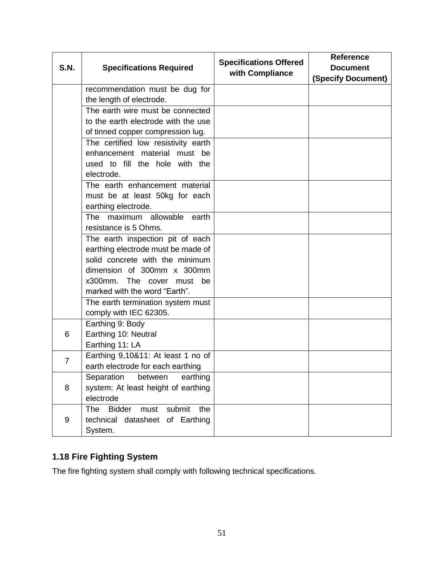| <b>S.N.</b>    | <b>Specifications Required</b>                       | <b>Specifications Offered</b><br>with Compliance | <b>Reference</b><br><b>Document</b> |
|----------------|------------------------------------------------------|--------------------------------------------------|-------------------------------------|
|                |                                                      |                                                  | <b>(Specify Document)</b>           |
|                | recommendation must be dug for                       |                                                  |                                     |
|                | the length of electrode.                             |                                                  |                                     |
|                | The earth wire must be connected                     |                                                  |                                     |
|                | to the earth electrode with the use                  |                                                  |                                     |
|                | of tinned copper compression lug.                    |                                                  |                                     |
|                | The certified low resistivity earth                  |                                                  |                                     |
|                | enhancement material must be                         |                                                  |                                     |
|                | used to fill the hole with the                       |                                                  |                                     |
|                | electrode.                                           |                                                  |                                     |
|                | The earth enhancement material                       |                                                  |                                     |
|                | must be at least 50kg for each                       |                                                  |                                     |
|                | earthing electrode.                                  |                                                  |                                     |
|                | maximum allowable<br>The<br>earth                    |                                                  |                                     |
|                | resistance is 5 Ohms.                                |                                                  |                                     |
|                | The earth inspection pit of each                     |                                                  |                                     |
|                | earthing electrode must be made of                   |                                                  |                                     |
|                | solid concrete with the minimum                      |                                                  |                                     |
|                | dimension of 300mm x 300mm                           |                                                  |                                     |
|                | x300mm. The cover must be                            |                                                  |                                     |
|                | marked with the word "Earth".                        |                                                  |                                     |
|                | The earth termination system must                    |                                                  |                                     |
|                | comply with IEC 62305.                               |                                                  |                                     |
|                | Earthing 9: Body                                     |                                                  |                                     |
| 6              | Earthing 10: Neutral                                 |                                                  |                                     |
|                | Earthing 11: LA                                      |                                                  |                                     |
| $\overline{7}$ | Earthing 9,10&11: At least 1 no of                   |                                                  |                                     |
|                | earth electrode for each earthing                    |                                                  |                                     |
|                | Separation between earthing                          |                                                  |                                     |
| 8              | system: At least height of earthing                  |                                                  |                                     |
|                | electrode                                            |                                                  |                                     |
|                | <b>Bidder</b><br><b>The</b><br>must<br>submit<br>the |                                                  |                                     |
| 9              | technical datasheet of Earthing                      |                                                  |                                     |
|                | System.                                              |                                                  |                                     |

# <span id="page-51-0"></span>**1.18 Fire Fighting System**

The fire fighting system shall comply with following technical specifications.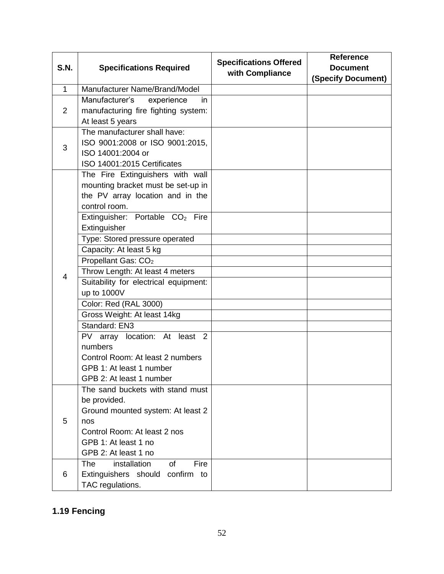| <b>S.N.</b>    | <b>Specifications Required</b>                                                                                                                                                                                                                                                                                                                                                                                                                                                                                                                                             | <b>Specifications Offered</b><br>with Compliance | <b>Reference</b><br><b>Document</b><br>(Specify Document) |
|----------------|----------------------------------------------------------------------------------------------------------------------------------------------------------------------------------------------------------------------------------------------------------------------------------------------------------------------------------------------------------------------------------------------------------------------------------------------------------------------------------------------------------------------------------------------------------------------------|--------------------------------------------------|-----------------------------------------------------------|
| $\mathbf{1}$   | Manufacturer Name/Brand/Model                                                                                                                                                                                                                                                                                                                                                                                                                                                                                                                                              |                                                  |                                                           |
| $\overline{2}$ | Manufacturer's<br>experience<br>in.<br>manufacturing fire fighting system:<br>At least 5 years                                                                                                                                                                                                                                                                                                                                                                                                                                                                             |                                                  |                                                           |
| 3              | The manufacturer shall have:<br>ISO 9001:2008 or ISO 9001:2015,<br>ISO 14001:2004 or<br>ISO 14001:2015 Certificates                                                                                                                                                                                                                                                                                                                                                                                                                                                        |                                                  |                                                           |
| 4              | The Fire Extinguishers with wall<br>mounting bracket must be set-up in<br>the PV array location and in the<br>control room.<br>Extinguisher: Portable CO <sub>2</sub> Fire<br>Extinguisher<br>Type: Stored pressure operated<br>Capacity: At least 5 kg<br>Propellant Gas: CO <sub>2</sub><br>Throw Length: At least 4 meters<br>Suitability for electrical equipment:<br>up to 1000V<br>Color: Red (RAL 3000)<br>Gross Weight: At least 14kg<br>Standard: EN3<br>PV array location: At least 2<br>numbers<br>Control Room: At least 2 numbers<br>GPB 1: At least 1 number |                                                  |                                                           |
| 5              | GPB 2: At least 1 number<br>The sand buckets with stand must<br>be provided.<br>Ground mounted system: At least 2<br>nos<br>Control Room: At least 2 nos<br>GPB 1: At least 1 no<br>GPB 2: At least 1 no                                                                                                                                                                                                                                                                                                                                                                   |                                                  |                                                           |
| 6              | installation<br>Fire<br><b>The</b><br><b>of</b><br>Extinguishers should<br>confirm<br>to<br>TAC regulations.                                                                                                                                                                                                                                                                                                                                                                                                                                                               |                                                  |                                                           |

# <span id="page-52-0"></span>**1.19 Fencing**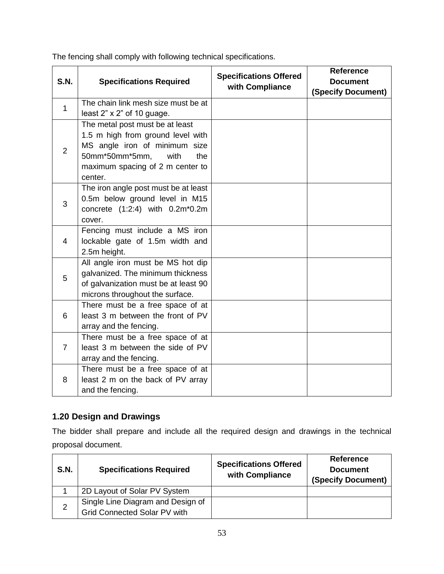| <b>S.N.</b>    | <b>Specifications Required</b>       | <b>Specifications Offered</b><br>with Compliance | <b>Reference</b><br><b>Document</b><br>(Specify Document) |
|----------------|--------------------------------------|--------------------------------------------------|-----------------------------------------------------------|
| $\mathbf{1}$   | The chain link mesh size must be at  |                                                  |                                                           |
|                | least $2" \times 2"$ of 10 guage.    |                                                  |                                                           |
|                | The metal post must be at least      |                                                  |                                                           |
|                | 1.5 m high from ground level with    |                                                  |                                                           |
| 2              | MS angle iron of minimum size        |                                                  |                                                           |
|                | 50mm*50mm*5mm,<br>with<br>the        |                                                  |                                                           |
|                | maximum spacing of 2 m center to     |                                                  |                                                           |
|                | center.                              |                                                  |                                                           |
|                | The iron angle post must be at least |                                                  |                                                           |
| 3              | 0.5m below ground level in M15       |                                                  |                                                           |
|                | concrete (1:2:4) with 0.2m*0.2m      |                                                  |                                                           |
|                | cover.                               |                                                  |                                                           |
|                | Fencing must include a MS iron       |                                                  |                                                           |
| 4              | lockable gate of 1.5m width and      |                                                  |                                                           |
|                | 2.5m height.                         |                                                  |                                                           |
|                | All angle iron must be MS hot dip    |                                                  |                                                           |
| 5              | galvanized. The minimum thickness    |                                                  |                                                           |
|                | of galvanization must be at least 90 |                                                  |                                                           |
|                | microns throughout the surface.      |                                                  |                                                           |
|                | There must be a free space of at     |                                                  |                                                           |
| 6              | least 3 m between the front of PV    |                                                  |                                                           |
|                | array and the fencing.               |                                                  |                                                           |
|                | There must be a free space of at     |                                                  |                                                           |
| $\overline{7}$ | least 3 m between the side of PV     |                                                  |                                                           |
|                | array and the fencing.               |                                                  |                                                           |
|                | There must be a free space of at     |                                                  |                                                           |
| 8              | least 2 m on the back of PV array    |                                                  |                                                           |
|                | and the fencing.                     |                                                  |                                                           |

The fencing shall comply with following technical specifications.

### <span id="page-53-0"></span>**1.20 Design and Drawings**

The bidder shall prepare and include all the required design and drawings in the technical proposal document.

| <b>S.N.</b> | <b>Specifications Required</b>                                    | <b>Specifications Offered</b><br>with Compliance | <b>Reference</b><br><b>Document</b><br>(Specify Document) |
|-------------|-------------------------------------------------------------------|--------------------------------------------------|-----------------------------------------------------------|
|             | 2D Layout of Solar PV System                                      |                                                  |                                                           |
| 2           | Single Line Diagram and Design of<br>Grid Connected Solar PV with |                                                  |                                                           |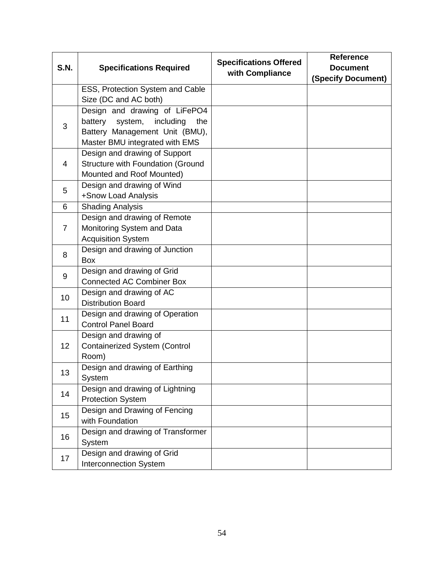| <b>S.N.</b>     | <b>Specifications Required</b>               | <b>Specifications Offered</b><br>with Compliance | <b>Reference</b><br><b>Document</b> |
|-----------------|----------------------------------------------|--------------------------------------------------|-------------------------------------|
|                 |                                              |                                                  | <b>(Specify Document)</b>           |
|                 | ESS, Protection System and Cable             |                                                  |                                     |
|                 | Size (DC and AC both)                        |                                                  |                                     |
|                 | Design and drawing of LiFePO4                |                                                  |                                     |
| 3               | system,<br>including<br>battery<br>the       |                                                  |                                     |
|                 | Battery Management Unit (BMU),               |                                                  |                                     |
|                 | Master BMU integrated with EMS               |                                                  |                                     |
|                 | Design and drawing of Support                |                                                  |                                     |
| 4               | Structure with Foundation (Ground            |                                                  |                                     |
|                 | Mounted and Roof Mounted)                    |                                                  |                                     |
| 5               | Design and drawing of Wind                   |                                                  |                                     |
|                 | +Snow Load Analysis                          |                                                  |                                     |
| 6               | <b>Shading Analysis</b>                      |                                                  |                                     |
|                 | Design and drawing of Remote                 |                                                  |                                     |
| $\overline{7}$  | Monitoring System and Data                   |                                                  |                                     |
|                 | <b>Acquisition System</b>                    |                                                  |                                     |
| 8               | Design and drawing of Junction<br><b>Box</b> |                                                  |                                     |
|                 | Design and drawing of Grid                   |                                                  |                                     |
| 9               | <b>Connected AC Combiner Box</b>             |                                                  |                                     |
|                 | Design and drawing of AC                     |                                                  |                                     |
| 10              | <b>Distribution Board</b>                    |                                                  |                                     |
|                 | Design and drawing of Operation              |                                                  |                                     |
| 11              | <b>Control Panel Board</b>                   |                                                  |                                     |
|                 | Design and drawing of                        |                                                  |                                     |
| 12 <sub>2</sub> | <b>Containerized System (Control</b>         |                                                  |                                     |
|                 | Room)                                        |                                                  |                                     |
| 13              | Design and drawing of Earthing               |                                                  |                                     |
|                 | System                                       |                                                  |                                     |
|                 | Design and drawing of Lightning              |                                                  |                                     |
| 14              | <b>Protection System</b>                     |                                                  |                                     |
| 15              | Design and Drawing of Fencing                |                                                  |                                     |
|                 | with Foundation                              |                                                  |                                     |
| 16              | Design and drawing of Transformer            |                                                  |                                     |
|                 | System                                       |                                                  |                                     |
| 17              | Design and drawing of Grid                   |                                                  |                                     |
|                 | <b>Interconnection System</b>                |                                                  |                                     |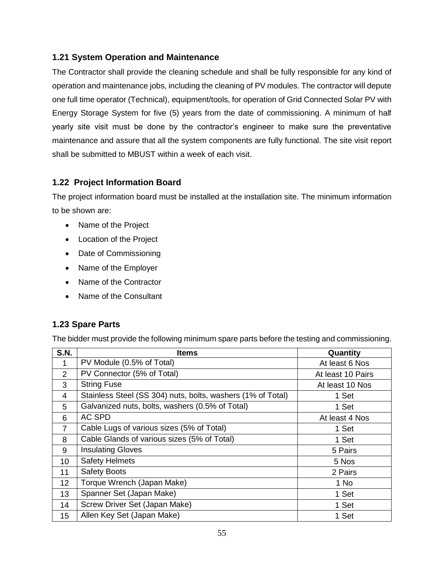### <span id="page-55-0"></span>**1.21 System Operation and Maintenance**

The Contractor shall provide the cleaning schedule and shall be fully responsible for any kind of operation and maintenance jobs, including the cleaning of PV modules. The contractor will depute one full time operator (Technical), equipment/tools, for operation of Grid Connected Solar PV with Energy Storage System for five (5) years from the date of commissioning. A minimum of half yearly site visit must be done by the contractor's engineer to make sure the preventative maintenance and assure that all the system components are fully functional. The site visit report shall be submitted to MBUST within a week of each visit.

### <span id="page-55-1"></span>**1.22 Project Information Board**

The project information board must be installed at the installation site. The minimum information to be shown are:

- Name of the Project
- Location of the Project
- Date of Commissioning
- Name of the Employer
- Name of the Contractor
- Name of the Consultant

### <span id="page-55-2"></span>**1.23 Spare Parts**

The bidder must provide the following minimum spare parts before the testing and commissioning.

| <b>S.N.</b>    | <b>Items</b>                                                | Quantity          |
|----------------|-------------------------------------------------------------|-------------------|
| 1              | PV Module (0.5% of Total)                                   | At least 6 Nos    |
| 2              | PV Connector (5% of Total)                                  | At least 10 Pairs |
| 3              | <b>String Fuse</b>                                          | At least 10 Nos   |
| 4              | Stainless Steel (SS 304) nuts, bolts, washers (1% of Total) | 1 Set             |
| 5              | Galvanized nuts, bolts, washers (0.5% of Total)             | 1 Set             |
| 6              | <b>AC SPD</b>                                               | At least 4 Nos    |
| $\overline{7}$ | Cable Lugs of various sizes (5% of Total)                   | 1 Set             |
| 8              | Cable Glands of various sizes (5% of Total)                 | 1 Set             |
| 9              | <b>Insulating Gloves</b>                                    | 5 Pairs           |
| 10             | <b>Safety Helmets</b>                                       | 5 Nos             |
| 11             | <b>Safety Boots</b>                                         | 2 Pairs           |
| 12             | Torque Wrench (Japan Make)                                  | 1 No              |
| 13             | Spanner Set (Japan Make)                                    | 1 Set             |
| 14             | Screw Driver Set (Japan Make)                               | 1 Set             |
| 15             | Allen Key Set (Japan Make)                                  | 1 Set             |